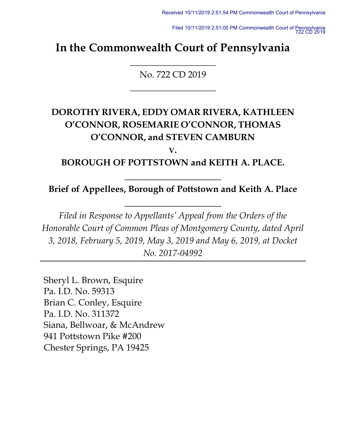Filed 10/11/2019 2:51:00 PM Commonwealth Court of Pennsylvania 722 CD 2019

# **In the Commonwealth Court of Pennsylvania**

No. 722 CD 2019

**\_\_\_\_\_\_\_\_\_\_\_\_\_\_\_\_\_\_\_**

**\_\_\_\_\_\_\_\_\_\_\_\_\_\_\_\_\_\_\_**

# **DOROTHY RIVERA, EDDY OMAR RIVERA, KATHLEEN O'CONNOR, ROSEMARIE O'CONNOR, THOMAS O'CONNOR, and STEVEN CAMBURN**

**V.**

**BOROUGH OF POTTSTOWN and KEITH A. PLACE.**

**\_\_\_\_\_\_\_\_\_\_\_\_\_\_\_\_\_\_\_**

# **Brief of Appellees, Borough of Pottstown and Keith A. Place**

**\_\_\_\_\_\_\_\_\_\_\_\_\_\_\_\_\_\_\_**

*Filed in Response to Appellants' Appeal from the Orders of the Honorable Court of Common Pleas of Montgomery County, dated April 3, 2018, February 5, 2019, May 3, 2019 and May 6, 2019, at Docket No. 2017-04992*

Sheryl L. Brown, Esquire Pa. I.D. No. 59313 Brian C. Conley, Esquire Pa. I.D. No. 311372 Siana, Bellwoar, & McAndrew 941 Pottstown Pike #200 Chester Springs, PA 19425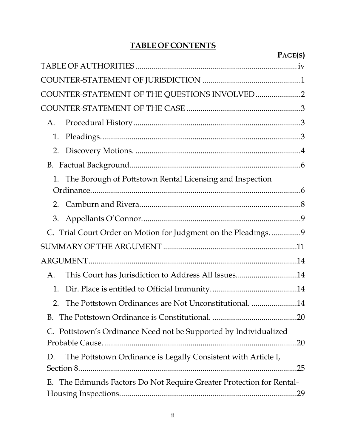# **TABLE OF CONTENTS**

 $P$ <sup>*ACE* $(s)$ </sup>

|                                                                      | r verial |
|----------------------------------------------------------------------|----------|
|                                                                      |          |
|                                                                      |          |
| COUNTER-STATEMENT OF THE QUESTIONS INVOLVED 2                        |          |
|                                                                      |          |
| A.                                                                   |          |
| 1.                                                                   |          |
| 2.                                                                   |          |
|                                                                      |          |
| The Borough of Pottstown Rental Licensing and Inspection<br>1.       |          |
|                                                                      |          |
|                                                                      |          |
| 3.                                                                   |          |
| C. Trial Court Order on Motion for Judgment on the Pleadings9        |          |
|                                                                      |          |
|                                                                      |          |
| This Court has Jurisdiction to Address All Issues14<br>А.            |          |
| 1.                                                                   |          |
| The Pottstown Ordinances are Not Unconstitutional. 14<br>2.          |          |
|                                                                      |          |
| C. Pottstown's Ordinance Need not be Supported by Individualized     |          |
|                                                                      | .20      |
| The Pottstown Ordinance is Legally Consistent with Article I,<br>D.  |          |
|                                                                      |          |
| E. The Edmunds Factors Do Not Require Greater Protection for Rental- |          |
|                                                                      |          |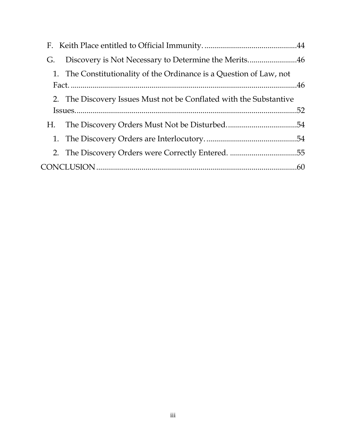| Discovery is Not Necessary to Determine the Merits46<br>G.          |  |
|---------------------------------------------------------------------|--|
| 1. The Constitutionality of the Ordinance is a Question of Law, not |  |
| 2. The Discovery Issues Must not be Conflated with the Substantive  |  |
|                                                                     |  |
|                                                                     |  |
|                                                                     |  |
|                                                                     |  |
|                                                                     |  |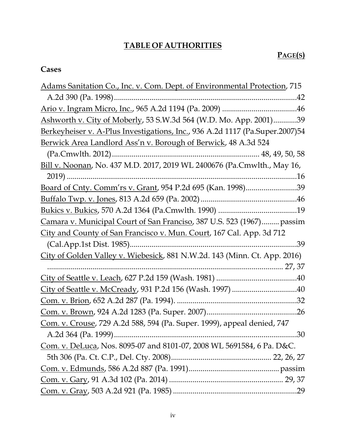# **TABLE OF AUTHORITIES**

# **PAGE(S)**

# <span id="page-3-0"></span>**Cases**

| Adams Sanitation Co., Inc. v. Com. Dept. of Environmental Protection, 715    |
|------------------------------------------------------------------------------|
|                                                                              |
|                                                                              |
| Ashworth v. City of Moberly, 53 S.W.3d 564 (W.D. Mo. App. 2001)39            |
| Berkeyheiser v. A-Plus Investigations, Inc., 936 A.2d 1117 (Pa.Super.2007)54 |
| Berwick Area Landlord Ass'n v. Borough of Berwick, 48 A.3d 524               |
|                                                                              |
| Bill v. Noonan, No. 437 M.D. 2017, 2019 WL 2400676 (Pa.Cmwlth., May 16,      |
| $2019)$                                                                      |
| Board of Cnty. Comm'rs v. Grant, 954 P.2d 695 (Kan. 1998)39                  |
|                                                                              |
|                                                                              |
| Camara v. Municipal Court of San Franciso, 387 U.S. 523 (1967) passim        |
| City and County of San Francisco v. Mun. Court, 167 Cal. App. 3d 712         |
| .39                                                                          |
| City of Golden Valley v. Wiebesick, 881 N.W.2d. 143 (Minn. Ct. App. 2016)    |
|                                                                              |
|                                                                              |
|                                                                              |
|                                                                              |
|                                                                              |
| Com. v. Crouse, 729 A.2d 588, 594 (Pa. Super. 1999), appeal denied, 747      |
| 30                                                                           |
| Com. v. DeLuca, Nos. 8095-07 and 8101-07, 2008 WL 5691584, 6 Pa. D&C.        |
|                                                                              |
|                                                                              |
|                                                                              |
|                                                                              |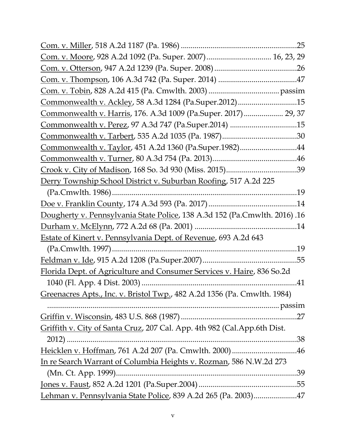| Com. v. Moore, 928 A.2d 1092 (Pa. Super. 2007) 16, 23, 29                  |     |
|----------------------------------------------------------------------------|-----|
|                                                                            |     |
|                                                                            |     |
|                                                                            |     |
| Commonwealth v. Ackley, 58 A.3d 1284 (Pa.Super.2012)15                     |     |
| Commonwealth v. Harris, 176. A.3d 1009 (Pa.Super. 2017) 29, 37             |     |
| <u>Commonwealth v. Perez</u> , 97 A.3d 747 (Pa.Super.2014) 15              |     |
|                                                                            |     |
| Commonwealth v. Taylor, 451 A.2d 1360 (Pa.Super.1982)44                    |     |
|                                                                            |     |
|                                                                            |     |
| Derry Township School District v. Suburban Roofing, 517 A.2d 225           |     |
|                                                                            | .19 |
|                                                                            |     |
| Dougherty v. Pennsylvania State Police, 138 A.3d 152 (Pa.Cmwlth. 2016) .16 |     |
|                                                                            |     |
| <b>Estate of Kinert v. Pennsylvania Dept. of Revenue, 693 A.2d 643</b>     |     |
|                                                                            |     |
|                                                                            |     |
| Florida Dept. of Agriculture and Consumer Services v. Haire, 836 So.2d     |     |
|                                                                            |     |
| Greenacres Apts., Inc. v. Bristol Twp., 482 A.2d 1356 (Pa. Cmwlth. 1984)   |     |
|                                                                            |     |
|                                                                            |     |
| Griffith v. City of Santa Cruz, 207 Cal. App. 4th 982 (Cal. App. 6th Dist. |     |
| $2012$ )                                                                   |     |
|                                                                            |     |
| In re Search Warrant of Columbia Heights v. Rozman, 586 N.W.2d 273         |     |
|                                                                            |     |
|                                                                            |     |
| Lehman v. Pennsylvania State Police, 839 A.2d 265 (Pa. 2003)47             |     |
|                                                                            |     |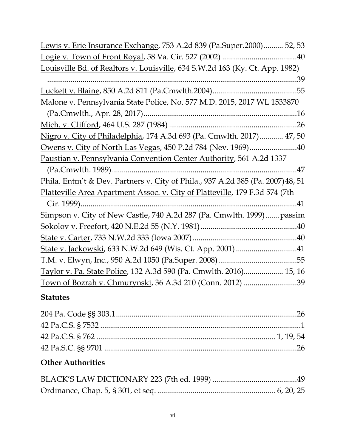| Lewis v. Erie Insurance Exchange, 753 A.2d 839 (Pa.Super.2000) 52, 53           |
|---------------------------------------------------------------------------------|
|                                                                                 |
| Louisville Bd. of Realtors v. Louisville, 634 S.W.2d 163 (Ky. Ct. App. 1982)    |
| .39                                                                             |
|                                                                                 |
| Malone v. Pennsylvania State Police, No. 577 M.D. 2015, 2017 WL 1533870         |
|                                                                                 |
|                                                                                 |
| Nigro v. City of Philadelphia, 174 A.3d 693 (Pa. Cmwlth. 2017) 47, 50           |
| Owens v. City of North Las Vegas, 450 P.2d 784 (Nev. 1969)40                    |
| Paustian v. Pennsylvania Convention Center Authority, 561 A.2d 1337             |
|                                                                                 |
| Phila. Entm't & Dev. Partners v. City of Phila., 937 A.2d 385 (Pa. 2007) 48, 51 |
| Platteville Area Apartment Assoc. v. City of Platteville, 179 F.3d 574 (7th     |
|                                                                                 |
| Simpson v. City of New Castle, 740 A.2d 287 (Pa. Cmwlth. 1999) passim           |
|                                                                                 |
|                                                                                 |
|                                                                                 |
|                                                                                 |
|                                                                                 |
| Taylor v. Pa. State Police, 132 A.3d 590 (Pa. Cmwlth. 2016) 15, 16              |

# **Statutes**

# **Other Authorities**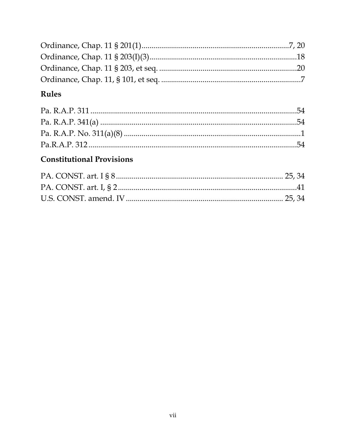# Rules

# **Constitutional Provisions**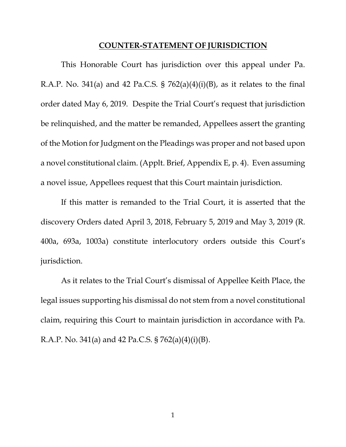#### **COUNTER-STATEMENT OF JURISDICTION**

<span id="page-7-0"></span>This Honorable Court has jurisdiction over this appeal under Pa. R.A.P. No. 341(a) and 42 Pa.C.S. §  $762(a)(4)(i)(B)$ , as it relates to the final order dated May 6, 2019. Despite the Trial Court's request that jurisdiction be relinquished, and the matter be remanded, Appellees assert the granting of the Motion for Judgment on the Pleadings was proper and not based upon a novel constitutional claim. (Applt. Brief, Appendix E, p. 4). Even assuming a novel issue, Appellees request that this Court maintain jurisdiction.

If this matter is remanded to the Trial Court, it is asserted that the discovery Orders dated April 3, 2018, February 5, 2019 and May 3, 2019 (R. 400a, 693a, 1003a) constitute interlocutory orders outside this Court's jurisdiction.

As it relates to the Trial Court's dismissal of Appellee Keith Place, the legal issues supporting his dismissal do not stem from a novel constitutional claim, requiring this Court to maintain jurisdiction in accordance with Pa. R.A.P. No. 341(a) and 42 Pa.C.S. § 762(a)(4)(i)(B).

1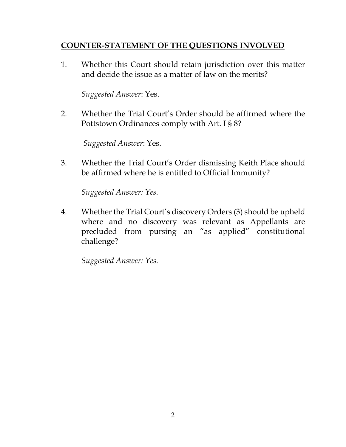# <span id="page-8-0"></span>**COUNTER-STATEMENT OF THE QUESTIONS INVOLVED**

1. Whether this Court should retain jurisdiction over this matter and decide the issue as a matter of law on the merits?

*Suggested Answer*: Yes.

2. Whether the Trial Court's Order should be affirmed where the Pottstown Ordinances comply with Art. I § 8?

 *Suggested Answer*: Yes.

3. Whether the Trial Court's Order dismissing Keith Place should be affirmed where he is entitled to Official Immunity?

*Suggested Answer: Yes.*

4. Whether the Trial Court's discovery Orders (3) should be upheld where and no discovery was relevant as Appellants are precluded from pursing an "as applied" constitutional challenge?

*Suggested Answer: Yes.*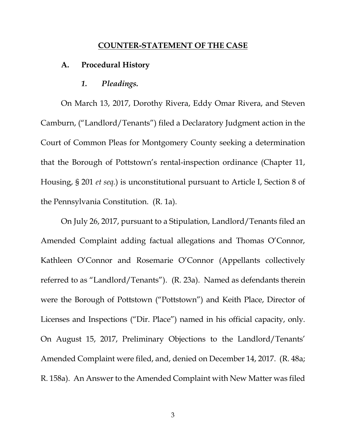#### **COUNTER-STATEMENT OF THE CASE**

#### <span id="page-9-1"></span><span id="page-9-0"></span>**A. Procedural History**

*1. Pleadings.*

<span id="page-9-2"></span>On March 13, 2017, Dorothy Rivera, Eddy Omar Rivera, and Steven Camburn, ("Landlord/Tenants") filed a Declaratory Judgment action in the Court of Common Pleas for Montgomery County seeking a determination that the Borough of Pottstown's rental-inspection ordinance (Chapter 11, Housing, § 201 *et seq.*) is unconstitutional pursuant to Article I, Section 8 of the Pennsylvania Constitution. (R. 1a).

On July 26, 2017, pursuant to a Stipulation, Landlord/Tenants filed an Amended Complaint adding factual allegations and Thomas O'Connor, Kathleen O'Connor and Rosemarie O'Connor (Appellants collectively referred to as "Landlord/Tenants"). (R. 23a). Named as defendants therein were the Borough of Pottstown ("Pottstown") and Keith Place, Director of Licenses and Inspections ("Dir. Place") named in his official capacity, only. On August 15, 2017, Preliminary Objections to the Landlord/Tenants' Amended Complaint were filed, and, denied on December 14, 2017. (R. 48a; R. 158a). An Answer to the Amended Complaint with New Matter was filed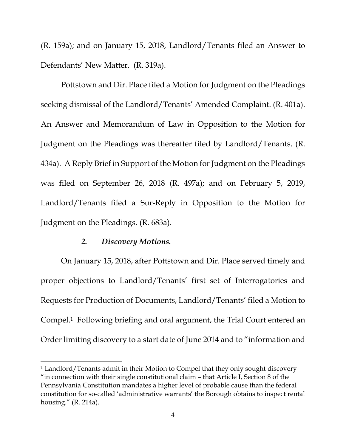(R. 159a); and on January 15, 2018, Landlord/Tenants filed an Answer to Defendants' New Matter. (R. 319a).

Pottstown and Dir. Place filed a Motion for Judgment on the Pleadings seeking dismissal of the Landlord/Tenants' Amended Complaint. (R. 401a). An Answer and Memorandum of Law in Opposition to the Motion for Judgment on the Pleadings was thereafter filed by Landlord/Tenants. (R. 434a). A Reply Brief in Support of the Motion for Judgment on the Pleadings was filed on September 26, 2018 (R. 497a); and on February 5, 2019, Landlord/Tenants filed a Sur-Reply in Opposition to the Motion for Judgment on the Pleadings. (R. 683a).

### *2. Discovery Motions.*

<span id="page-10-0"></span>On January 15, 2018, after Pottstown and Dir. Place served timely and proper objections to Landlord/Tenants' first set of Interrogatories and Requests for Production of Documents, Landlord/Tenants' filed a Motion to Compel.<sup>1</sup> Following briefing and oral argument, the Trial Court entered an Order limiting discovery to a start date of June 2014 and to "information and

<sup>1</sup> Landlord/Tenants admit in their Motion to Compel that they only sought discovery "in connection with their single constitutional claim – that Article I, Section 8 of the Pennsylvania Constitution mandates a higher level of probable cause than the federal constitution for so-called 'administrative warrants' the Borough obtains to inspect rental housing." (R. 214a).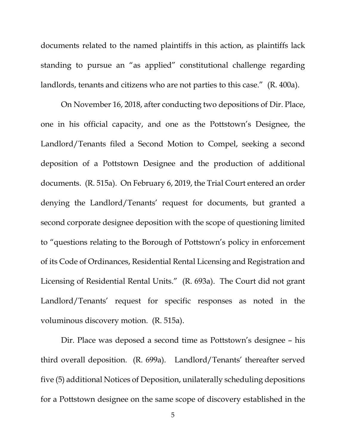documents related to the named plaintiffs in this action, as plaintiffs lack standing to pursue an "as applied" constitutional challenge regarding landlords, tenants and citizens who are not parties to this case." (R. 400a).

On November 16, 2018, after conducting two depositions of Dir. Place, one in his official capacity, and one as the Pottstown's Designee, the Landlord/Tenants filed a Second Motion to Compel, seeking a second deposition of a Pottstown Designee and the production of additional documents. (R. 515a). On February 6, 2019, the Trial Court entered an order denying the Landlord/Tenants' request for documents, but granted a second corporate designee deposition with the scope of questioning limited to "questions relating to the Borough of Pottstown's policy in enforcement of its Code of Ordinances, Residential Rental Licensing and Registration and Licensing of Residential Rental Units." (R. 693a). The Court did not grant Landlord/Tenants' request for specific responses as noted in the voluminous discovery motion. (R. 515a).

Dir. Place was deposed a second time as Pottstown's designee – his third overall deposition. (R. 699a). Landlord/Tenants' thereafter served five (5) additional Notices of Deposition, unilaterally scheduling depositions for a Pottstown designee on the same scope of discovery established in the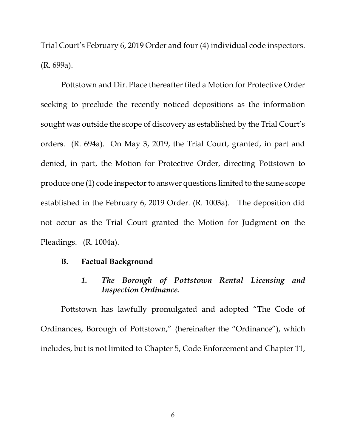Trial Court's February 6, 2019 Order and four (4) individual code inspectors. (R. 699a).

Pottstown and Dir. Place thereafter filed a Motion for Protective Order seeking to preclude the recently noticed depositions as the information sought was outside the scope of discovery as established by the Trial Court's orders. (R. 694a). On May 3, 2019, the Trial Court, granted, in part and denied, in part, the Motion for Protective Order, directing Pottstown to produce one (1) code inspector to answer questions limited to the same scope established in the February 6, 2019 Order. (R. 1003a). The deposition did not occur as the Trial Court granted the Motion for Judgment on the Pleadings. (R. 1004a).

#### <span id="page-12-1"></span><span id="page-12-0"></span>**B. Factual Background**

## *1. The Borough of Pottstown Rental Licensing and Inspection Ordinance.*

Pottstown has lawfully promulgated and adopted "The Code of Ordinances, Borough of Pottstown," (hereinafter the "Ordinance"), which includes, but is not limited to Chapter 5, Code Enforcement and Chapter 11,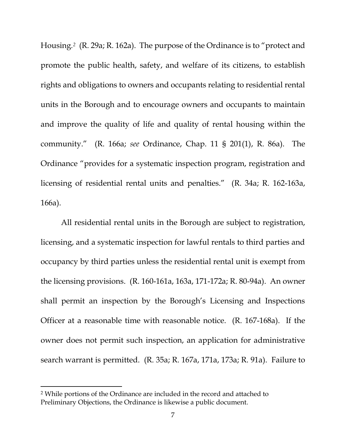Housing.<sup>2</sup> (R. 29a; R. 162a). The purpose of the Ordinance is to "protect and promote the public health, safety, and welfare of its citizens, to establish rights and obligations to owners and occupants relating to residential rental units in the Borough and to encourage owners and occupants to maintain and improve the quality of life and quality of rental housing within the community." (R. 166a; *see* Ordinance, Chap. 11 § 201(1), R. 86a). The Ordinance "provides for a systematic inspection program, registration and licensing of residential rental units and penalties." (R. 34a; R. 162-163a, 166a).

All residential rental units in the Borough are subject to registration, licensing, and a systematic inspection for lawful rentals to third parties and occupancy by third parties unless the residential rental unit is exempt from the licensing provisions. (R. 160-161a, 163a, 171-172a; R. 80-94a). An owner shall permit an inspection by the Borough's Licensing and Inspections Officer at a reasonable time with reasonable notice. (R. 167-168a). If the owner does not permit such inspection, an application for administrative search warrant is permitted. (R. 35a; R. 167a, 171a, 173a; R. 91a). Failure to

<sup>2</sup> While portions of the Ordinance are included in the record and attached to Preliminary Objections, the Ordinance is likewise a public document.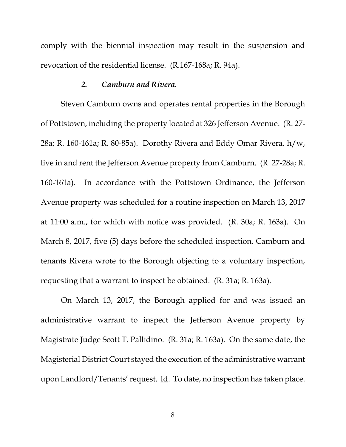comply with the biennial inspection may result in the suspension and revocation of the residential license. (R.167-168a; R. 94a).

### *2. Camburn and Rivera.*

<span id="page-14-0"></span>Steven Camburn owns and operates rental properties in the Borough of Pottstown, including the property located at 326 Jefferson Avenue. (R. 27- 28a; R. 160-161a; R. 80-85a). Dorothy Rivera and Eddy Omar Rivera, h/w, live in and rent the Jefferson Avenue property from Camburn. (R. 27-28a; R. 160-161a). In accordance with the Pottstown Ordinance, the Jefferson Avenue property was scheduled for a routine inspection on March 13, 2017 at 11:00 a.m., for which with notice was provided. (R. 30a; R. 163a). On March 8, 2017, five (5) days before the scheduled inspection, Camburn and tenants Rivera wrote to the Borough objecting to a voluntary inspection, requesting that a warrant to inspect be obtained. (R. 31a; R. 163a).

On March 13, 2017, the Borough applied for and was issued an administrative warrant to inspect the Jefferson Avenue property by Magistrate Judge Scott T. Pallidino. (R. 31a; R. 163a). On the same date, the Magisterial District Court stayed the execution of the administrative warrant upon Landlord/Tenants'request. Id. To date, no inspection has taken place.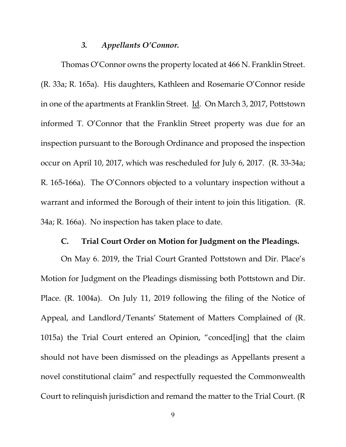## *3. Appellants O'Connor.*

<span id="page-15-0"></span>Thomas O'Connor owns the property located at 466 N. Franklin Street. (R. 33a; R. 165a). His daughters, Kathleen and Rosemarie O'Connor reside in one of the apartments at Franklin Street. Id*.* On March 3, 2017, Pottstown informed T. O'Connor that the Franklin Street property was due for an inspection pursuant to the Borough Ordinance and proposed the inspection occur on April 10, 2017, which was rescheduled for July 6, 2017. (R. 33-34a; R. 165-166a). The O'Connors objected to a voluntary inspection without a warrant and informed the Borough of their intent to join this litigation. (R. 34a; R. 166a). No inspection has taken place to date.

### **C. Trial Court Order on Motion for Judgment on the Pleadings.**

<span id="page-15-1"></span>On May 6. 2019, the Trial Court Granted Pottstown and Dir. Place's Motion for Judgment on the Pleadings dismissing both Pottstown and Dir. Place. (R. 1004a). On July 11, 2019 following the filing of the Notice of Appeal, and Landlord/Tenants' Statement of Matters Complained of (R. 1015a) the Trial Court entered an Opinion, "conced[ing] that the claim should not have been dismissed on the pleadings as Appellants present a novel constitutional claim" and respectfully requested the Commonwealth Court to relinquish jurisdiction and remand the matter to the Trial Court. (R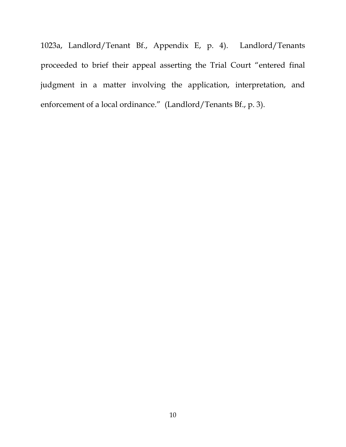1023a, Landlord/Tenant Bf., Appendix E, p. 4). Landlord/Tenants proceeded to brief their appeal asserting the Trial Court "entered final judgment in a matter involving the application, interpretation, and enforcement of a local ordinance." (Landlord/Tenants Bf., p. 3).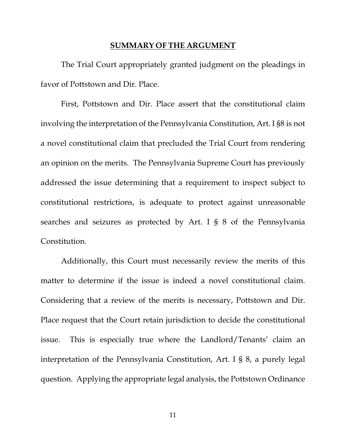### **SUMMARY OF THE ARGUMENT**

<span id="page-17-0"></span>The Trial Court appropriately granted judgment on the pleadings in favor of Pottstown and Dir. Place.

First, Pottstown and Dir. Place assert that the constitutional claim involving the interpretation of the Pennsylvania Constitution, Art. I §8 is not a novel constitutional claim that precluded the Trial Court from rendering an opinion on the merits. The Pennsylvania Supreme Court has previously addressed the issue determining that a requirement to inspect subject to constitutional restrictions, is adequate to protect against unreasonable searches and seizures as protected by Art. I § 8 of the Pennsylvania Constitution.

Additionally, this Court must necessarily review the merits of this matter to determine if the issue is indeed a novel constitutional claim. Considering that a review of the merits is necessary, Pottstown and Dir. Place request that the Court retain jurisdiction to decide the constitutional issue. This is especially true where the Landlord/Tenants' claim an interpretation of the Pennsylvania Constitution, Art. I § 8, a purely legal question. Applying the appropriate legal analysis, the Pottstown Ordinance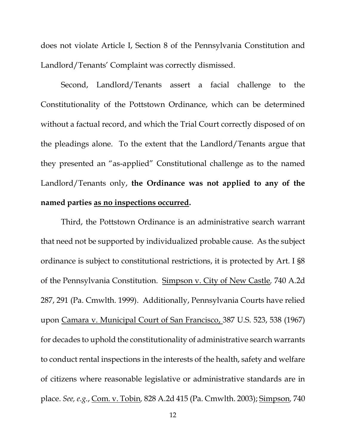does not violate Article I, Section 8 of the Pennsylvania Constitution and Landlord/Tenants' Complaint was correctly dismissed.

Second, Landlord/Tenants assert a facial challenge to the Constitutionality of the Pottstown Ordinance, which can be determined without a factual record, and which the Trial Court correctly disposed of on the pleadings alone. To the extent that the Landlord/Tenants argue that they presented an "as-applied" Constitutional challenge as to the named Landlord/Tenants only, **the Ordinance was not applied to any of the named parties as no inspections occurred.**

Third, the Pottstown Ordinance is an administrative search warrant that need not be supported by individualized probable cause. As the subject ordinance is subject to constitutional restrictions, it is protected by Art. I §8 of the Pennsylvania Constitution. Simpson v. City of New Castle*,* 740 A.2d 287, 291 (Pa. Cmwlth. 1999). Additionally, Pennsylvania Courts have relied upon Camara v. Municipal Court of San Francisco, 387 U.S. 523, 538 (1967) for decades to uphold the constitutionality of administrative search warrants to conduct rental inspections in the interests of the health, safety and welfare of citizens where reasonable legislative or administrative standards are in place. *See, e.g.*, Com. v. Tobin*,* 828 A.2d 415 (Pa. Cmwlth. 2003); Simpson*,* 740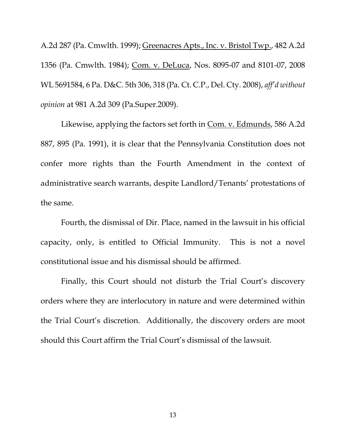A.2d 287 (Pa. Cmwlth. 1999); Greenacres Apts., Inc. v. Bristol Twp., 482 A.2d 1356 (Pa. Cmwlth. 1984); Com. v. DeLuca, Nos. 8095-07 and 8101-07, 2008 WL 5691584, 6 Pa. D&C. 5th 306, 318 (Pa. Ct. C.P., Del. Cty. 2008), *aff'd without opinion* at 981 A.2d 309 (Pa.Super.2009).

Likewise, applying the factors set forth in Com. v. Edmunds, 586 A.2d 887, 895 (Pa. 1991), it is clear that the Pennsylvania Constitution does not confer more rights than the Fourth Amendment in the context of administrative search warrants, despite Landlord/Tenants' protestations of the same.

Fourth, the dismissal of Dir. Place, named in the lawsuit in his official capacity, only, is entitled to Official Immunity. This is not a novel constitutional issue and his dismissal should be affirmed.

Finally, this Court should not disturb the Trial Court's discovery orders where they are interlocutory in nature and were determined within the Trial Court's discretion. Additionally, the discovery orders are moot should this Court affirm the Trial Court's dismissal of the lawsuit.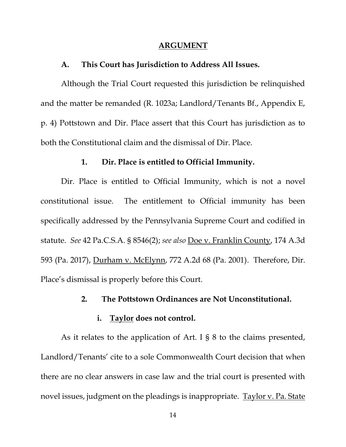#### **ARGUMENT**

#### <span id="page-20-0"></span>**A. This Court has Jurisdiction to Address All Issues.**

<span id="page-20-1"></span>Although the Trial Court requested this jurisdiction be relinquished and the matter be remanded (R. 1023a; Landlord/Tenants Bf., Appendix E, p. 4) Pottstown and Dir. Place assert that this Court has jurisdiction as to both the Constitutional claim and the dismissal of Dir. Place.

## **1. Dir. Place is entitled to Official Immunity.**

<span id="page-20-2"></span>Dir. Place is entitled to Official Immunity, which is not a novel constitutional issue. The entitlement to Official immunity has been specifically addressed by the Pennsylvania Supreme Court and codified in statute. *See* 42 Pa.C.S.A. § 8546(2); *see also* Doe v. Franklin County, 174 A.3d 593 (Pa. 2017), Durham v. McElynn, 772 A.2d 68 (Pa. 2001). Therefore, Dir. Place's dismissal is properly before this Court.

### **2. The Pottstown Ordinances are Not Unconstitutional.**

#### **i. Taylor does not control.**

<span id="page-20-3"></span>As it relates to the application of Art. I § 8 to the claims presented, Landlord/Tenants' cite to a sole Commonwealth Court decision that when there are no clear answers in case law and the trial court is presented with novel issues, judgment on the pleadings is inappropriate. Taylor v. Pa. State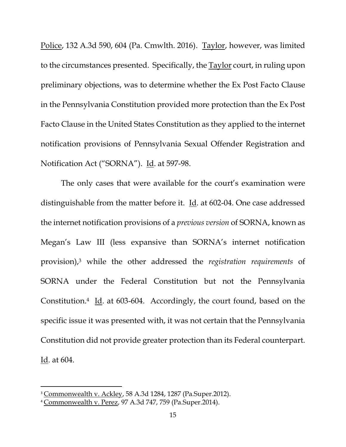Police, 132 A.3d 590, 604 (Pa. Cmwlth. 2016). Taylor, however, was limited to the circumstances presented. Specifically, the Taylor court, in ruling upon preliminary objections, was to determine whether the Ex Post Facto Clause in the Pennsylvania Constitution provided more protection than the Ex Post Facto Clause in the United States Constitution as they applied to the internet notification provisions of Pennsylvania Sexual Offender Registration and Notification Act ("SORNA"). Id. at 597-98.

The only cases that were available for the court's examination were distinguishable from the matter before it. Id. at 602-04. One case addressed the internet notification provisions of a *previous version* of SORNA, known as Megan's Law III (less expansive than SORNA's internet notification provision),<sup>3</sup> while the other addressed the *registration requirements* of SORNA under the Federal Constitution but not the Pennsylvania Constitution.<sup>4</sup> Id. at 603-604. Accordingly, the court found, based on the specific issue it was presented with, it was not certain that the Pennsylvania Constitution did not provide greater protection than its Federal counterpart. Id. at 604.

<sup>&</sup>lt;sup>3</sup> Commonwealth v. Ackley, 58 A.3d 1284, 1287 (Pa.Super.2012).

<sup>4</sup> Commonwealth v. Perez, 97 A.3d 747, 759 (Pa.Super.2014).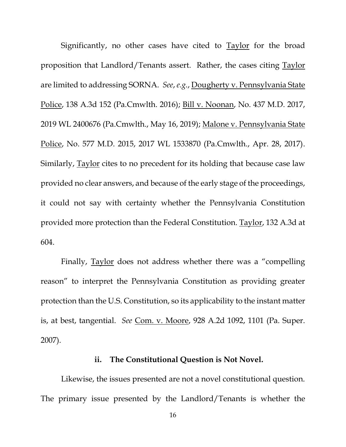Significantly, no other cases have cited to **Taylor** for the broad proposition that Landlord/Tenants assert. Rather, the cases citing Taylor are limited to addressing SORNA. *See*, *e.g.*, Dougherty v. Pennsylvania State Police, 138 A.3d 152 (Pa.Cmwlth. 2016); Bill v. Noonan, No. 437 M.D. 2017, 2019 WL 2400676 (Pa.Cmwlth., May 16, 2019); Malone v. Pennsylvania State Police, No. 577 M.D. 2015, 2017 WL 1533870 (Pa.Cmwlth., Apr. 28, 2017). Similarly, Taylor cites to no precedent for its holding that because case law provided no clear answers, and because of the early stage of the proceedings, it could not say with certainty whether the Pennsylvania Constitution provided more protection than the Federal Constitution. Taylor, 132 A.3d at 604.

Finally, Taylor does not address whether there was a "compelling reason" to interpret the Pennsylvania Constitution as providing greater protection than the U.S. Constitution, so its applicability to the instant matter is, at best, tangential. *See* Com. v. Moore, 928 A.2d 1092, 1101 (Pa. Super. 2007).

#### **ii. The Constitutional Question is Not Novel.**

Likewise, the issues presented are not a novel constitutional question. The primary issue presented by the Landlord/Tenants is whether the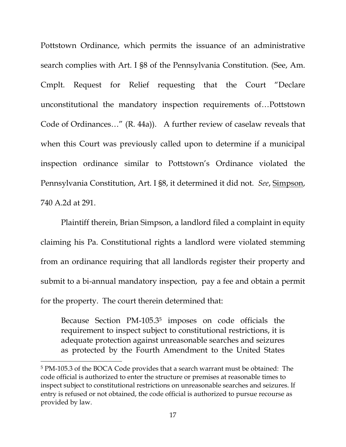Pottstown Ordinance, which permits the issuance of an administrative search complies with Art. I §8 of the Pennsylvania Constitution. (See, Am. Cmplt. Request for Relief requesting that the Court "Declare unconstitutional the mandatory inspection requirements of…Pottstown Code of Ordinances…" (R. 44a)). A further review of caselaw reveals that when this Court was previously called upon to determine if a municipal inspection ordinance similar to Pottstown's Ordinance violated the Pennsylvania Constitution, Art. I §8, it determined it did not. *See*, Simpson, 740 A.2d at 291.

Plaintiff therein, Brian Simpson, a landlord filed a complaint in equity claiming his Pa. Constitutional rights a landlord were violated stemming from an ordinance requiring that all landlords register their property and submit to a bi-annual mandatory inspection, pay a fee and obtain a permit for the property. The court therein determined that:

Because Section PM-105.3<sup>5</sup> imposes on code officials the requirement to inspect subject to constitutional restrictions, it is adequate protection against unreasonable searches and seizures as protected by the Fourth Amendment to the United States

<sup>5</sup> PM-105.3 of the BOCA Code provides that a search warrant must be obtained: The code official is authorized to enter the structure or premises at reasonable times to inspect subject to constitutional restrictions on unreasonable searches and seizures. If entry is refused or not obtained, the code official is authorized to pursue recourse as provided by law.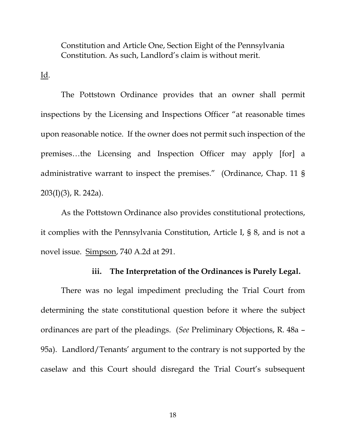Constitution and Article One, Section Eight of the Pennsylvania Constitution. As such, Landlord's claim is without merit.

Id.

The Pottstown Ordinance provides that an owner shall permit inspections by the Licensing and Inspections Officer "at reasonable times upon reasonable notice. If the owner does not permit such inspection of the premises…the Licensing and Inspection Officer may apply [for] a administrative warrant to inspect the premises." (Ordinance, Chap. 11 § 203(I)(3), R. 242a).

As the Pottstown Ordinance also provides constitutional protections, it complies with the Pennsylvania Constitution, Article I, § 8, and is not a novel issue. Simpson, 740 A.2d at 291.

## **iii. The Interpretation of the Ordinances is Purely Legal.**

There was no legal impediment precluding the Trial Court from determining the state constitutional question before it where the subject ordinances are part of the pleadings. (*See* Preliminary Objections, R. 48a – 95a). Landlord/Tenants' argument to the contrary is not supported by the caselaw and this Court should disregard the Trial Court's subsequent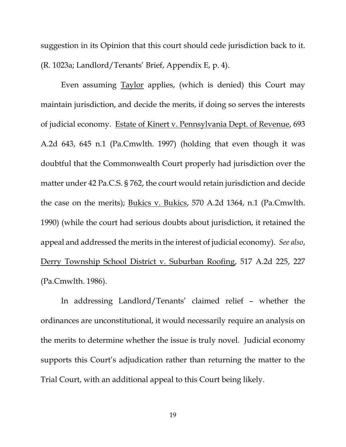suggestion in its Opinion that this court should cede jurisdiction back to it. (R. 1023a; Landlord/Tenants' Brief, Appendix E, p. 4).

Even assuming **Taylor** applies, (which is denied) this Court may maintain jurisdiction, and decide the merits, if doing so serves the interests of judicial economy. Estate of Kinert v. Pennsylvania Dept. of Revenue, 693 A.2d 643, 645 n.1 (Pa.Cmwlth. 1997) (holding that even though it was doubtful that the Commonwealth Court properly had jurisdiction over the matter under 42 Pa.C.S. § 762, the court would retain jurisdiction and decide the case on the merits); Bukics v. Bukics, 570 A.2d 1364, n.1 (Pa.Cmwlth. 1990) (while the court had serious doubts about jurisdiction, it retained the appeal and addressed the merits in the interest of judicial economy). *See also*, Derry Township School District v. Suburban Roofing, 517 A.2d 225, 227 (Pa.Cmwlth. 1986).

In addressing Landlord/Tenants' claimed relief – whether the ordinances are unconstitutional, it would necessarily require an analysis on the merits to determine whether the issue is truly novel. Judicial economy supports this Court's adjudication rather than returning the matter to the Trial Court, with an additional appeal to this Court being likely.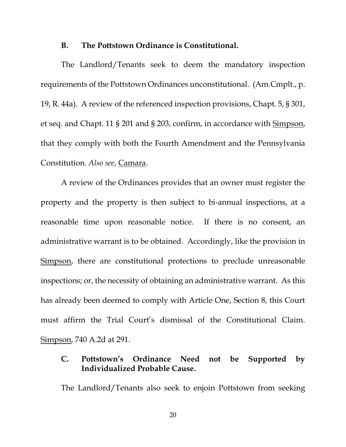#### **B. The Pottstown Ordinance is Constitutional.**

<span id="page-26-0"></span>The Landlord/Tenants seek to deem the mandatory inspection requirements of the Pottstown Ordinances unconstitutional. (Am.Cmplt., p. 19, R. 44a). A review of the referenced inspection provisions, Chapt. 5, § 301, et seq. and Chapt. 11 § 201 and § 203, confirm, in accordance with Simpson, that they comply with both the Fourth Amendment and the Pennsylvania Constitution. *Also see*, Camara.

A review of the Ordinances provides that an owner must register the property and the property is then subject to bi-annual inspections, at a reasonable time upon reasonable notice. If there is no consent, an administrative warrant is to be obtained. Accordingly, like the provision in Simpson, there are constitutional protections to preclude unreasonable inspections; or, the necessity of obtaining an administrative warrant. As this has already been deemed to comply with Article One, Section 8, this Court must affirm the Trial Court's dismissal of the Constitutional Claim. Simpson, 740 A.2d at 291.

## <span id="page-26-1"></span>**C. Pottstown's Ordinance Need not be Supported by Individualized Probable Cause.**

The Landlord/Tenants also seek to enjoin Pottstown from seeking

20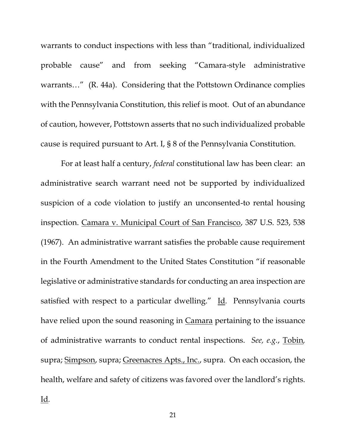warrants to conduct inspections with less than "traditional, individualized probable cause" and from seeking "Camara-style administrative warrants..." (R. 44a). Considering that the Pottstown Ordinance complies with the Pennsylvania Constitution, this relief is moot. Out of an abundance of caution, however, Pottstown asserts that no such individualized probable cause is required pursuant to Art. I, § 8 of the Pennsylvania Constitution.

For at least half a century, *federal* constitutional law has been clear: an administrative search warrant need not be supported by individualized suspicion of a code violation to justify an unconsented-to rental housing inspection. Camara v. Municipal Court of San Francisco, 387 U.S. 523, 538 (1967). An administrative warrant satisfies the probable cause requirement in the Fourth Amendment to the United States Constitution "if reasonable legislative or administrative standards for conducting an area inspection are satisfied with respect to a particular dwelling." Id*.* Pennsylvania courts have relied upon the sound reasoning in Camara pertaining to the issuance of administrative warrants to conduct rental inspections. *See, e.g.*, Tobin*,* supra; Simpson, supra; Greenacres Apts., Inc., supra. On each occasion, the health, welfare and safety of citizens was favored over the landlord's rights. Id*.*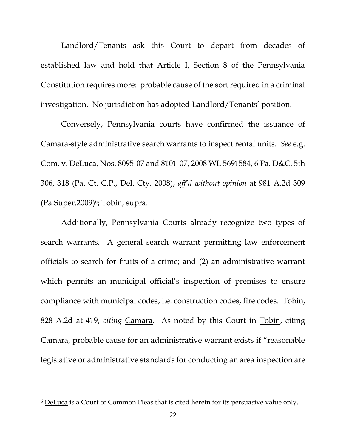Landlord/Tenants ask this Court to depart from decades of established law and hold that Article I, Section 8 of the Pennsylvania Constitution requires more: probable cause of the sort required in a criminal investigation. No jurisdiction has adopted Landlord/Tenants' position.

Conversely, Pennsylvania courts have confirmed the issuance of Camara-style administrative search warrants to inspect rental units. *See* e.g. Com. v. DeLuca, Nos. 8095-07 and 8101-07, 2008 WL 5691584, 6 Pa. D&C. 5th 306, 318 (Pa. Ct. C.P., Del. Cty. 2008), *aff'd without opinion* at 981 A.2d 309 (Pa.Super.2009)<sup>6</sup>; <u>Tobin</u>, supra.

Additionally, Pennsylvania Courts already recognize two types of search warrants. A general search warrant permitting law enforcement officials to search for fruits of a crime; and (2) an administrative warrant which permits an municipal official's inspection of premises to ensure compliance with municipal codes, i.e. construction codes, fire codes. Tobin, 828 A.2d at 419, *citing* Camara. As noted by this Court in Tobin, citing Camara, probable cause for an administrative warrant exists if "reasonable legislative or administrative standards for conducting an area inspection are

<sup>&</sup>lt;sup>6</sup> DeLuca is a Court of Common Pleas that is cited herein for its persuasive value only.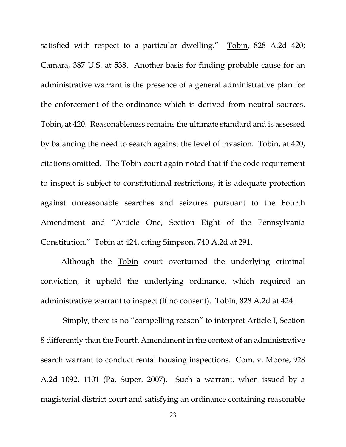satisfied with respect to a particular dwelling." Tobin, 828 A.2d 420; Camara, 387 U.S. at 538. Another basis for finding probable cause for an administrative warrant is the presence of a general administrative plan for the enforcement of the ordinance which is derived from neutral sources. Tobin, at 420. Reasonableness remains the ultimate standard and is assessed by balancing the need to search against the level of invasion. Tobin, at 420, citations omitted. The Tobin court again noted that if the code requirement to inspect is subject to constitutional restrictions, it is adequate protection against unreasonable searches and seizures pursuant to the Fourth Amendment and "Article One, Section Eight of the Pennsylvania Constitution." Tobin at 424, citing Simpson, 740 A.2d at 291.

Although the Tobin court overturned the underlying criminal conviction, it upheld the underlying ordinance, which required an administrative warrant to inspect (if no consent). Tobin, 828 A.2d at 424.

Simply, there is no "compelling reason" to interpret Article I, Section 8 differently than the Fourth Amendment in the context of an administrative search warrant to conduct rental housing inspections. Com. v. Moore, 928 A.2d 1092, 1101 (Pa. Super. 2007). Such a warrant, when issued by a magisterial district court and satisfying an ordinance containing reasonable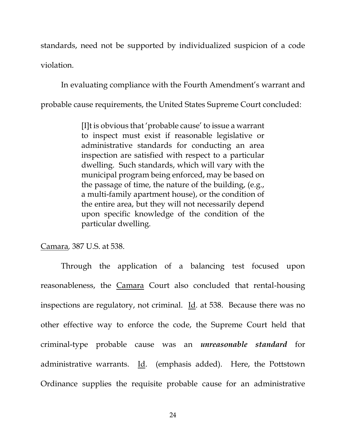standards, need not be supported by individualized suspicion of a code violation.

In evaluating compliance with the Fourth Amendment's warrant and probable cause requirements, the United States Supreme Court concluded:

> [I]t is obvious that 'probable cause' to issue a warrant to inspect must exist if reasonable legislative or administrative standards for conducting an area inspection are satisfied with respect to a particular dwelling. Such standards, which will vary with the municipal program being enforced, may be based on the passage of time, the nature of the building, (e.g., a multi-family apartment house), or the condition of the entire area, but they will not necessarily depend upon specific knowledge of the condition of the particular dwelling.

Camara*,* 387 U.S. at 538.

Through the application of a balancing test focused upon reasonableness, the Camara Court also concluded that rental-housing inspections are regulatory, not criminal. Id*.* at 538. Because there was no other effective way to enforce the code, the Supreme Court held that criminal-type probable cause was an *unreasonable standard* for administrative warrants. Id. (emphasis added). Here, the Pottstown Ordinance supplies the requisite probable cause for an administrative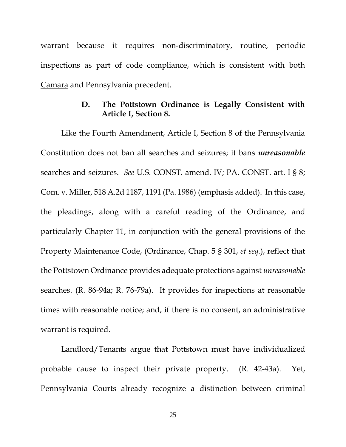warrant because it requires non-discriminatory, routine, periodic inspections as part of code compliance, which is consistent with both Camara and Pennsylvania precedent.

## **D. The Pottstown Ordinance is Legally Consistent with Article I, Section 8.**

<span id="page-31-0"></span>Like the Fourth Amendment, Article I, Section 8 of the Pennsylvania Constitution does not ban all searches and seizures; it bans *unreasonable* searches and seizures. *See* U.S. CONST. amend. IV; PA. CONST. art. I § 8; Com. v. Miller, 518 A.2d 1187, 1191 (Pa. 1986) (emphasis added). In this case, the pleadings, along with a careful reading of the Ordinance, and particularly Chapter 11, in conjunction with the general provisions of the Property Maintenance Code, (Ordinance, Chap. 5 § 301, *et seq.*), reflect that the Pottstown Ordinance provides adequate protections against *unreasonable* searches. (R. 86-94a; R. 76-79a). It provides for inspections at reasonable times with reasonable notice; and, if there is no consent, an administrative warrant is required.

Landlord/Tenants argue that Pottstown must have individualized probable cause to inspect their private property. (R. 42-43a). Yet, Pennsylvania Courts already recognize a distinction between criminal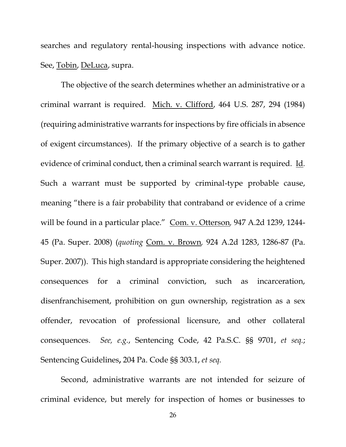searches and regulatory rental-housing inspections with advance notice. See, Tobin, DeLuca, supra.

The objective of the search determines whether an administrative or a criminal warrant is required. Mich. v. Clifford, 464 U.S. 287, 294 (1984) (requiring administrative warrants for inspections by fire officials in absence of exigent circumstances). If the primary objective of a search is to gather evidence of criminal conduct, then a criminal search warrant is required. Id*.* Such a warrant must be supported by criminal-type probable cause, meaning "there is a fair probability that contraband or evidence of a crime will be found in a particular place." Com. v. Otterson*,* 947 A.2d 1239, 1244- 45 (Pa. Super. 2008) (*quoting* Com. v. Brown*,* 924 A.2d 1283, 1286-87 (Pa. Super. 2007)). This high standard is appropriate considering the heightened consequences for a criminal conviction, such as incarceration, disenfranchisement, prohibition on gun ownership, registration as a sex offender, revocation of professional licensure, and other collateral consequences. *See, e.g.*, Sentencing Code, 42 Pa.S.C. §§ 9701, *et seq.*; Sentencing Guidelines**,** 204 Pa. Code §§ 303.1, *et seq.*

Second, administrative warrants are not intended for seizure of criminal evidence, but merely for inspection of homes or businesses to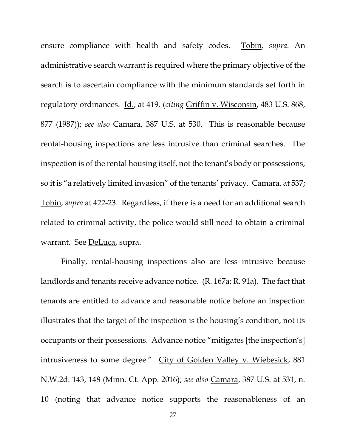ensure compliance with health and safety codes. Tobin*, supra.* An administrative search warrant is required where the primary objective of the search is to ascertain compliance with the minimum standards set forth in regulatory ordinances. Id., at 419*.* (*citing* Griffin v. Wisconsin, 483 U.S. 868, 877 (1987)); *see also* Camara, 387 U.S. at 530. This is reasonable because rental-housing inspections are less intrusive than criminal searches. The inspection is of the rental housing itself, not the tenant's body or possessions, so it is "a relatively limited invasion" of the tenants' privacy. Camara, at 537; Tobin*, supra* at 422-23. Regardless, if there is a need for an additional search related to criminal activity, the police would still need to obtain a criminal warrant. See DeLuca, supra.

Finally, rental-housing inspections also are less intrusive because landlords and tenants receive advance notice. (R. 167a; R. 91a). The fact that tenants are entitled to advance and reasonable notice before an inspection illustrates that the target of the inspection is the housing's condition, not its occupants or their possessions. Advance notice "mitigates [the inspection's] intrusiveness to some degree." City of Golden Valley v. Wiebesick, 881 N.W.2d. 143, 148 (Minn. Ct. App. 2016); *see also* Camara, 387 U.S. at 531, n. 10 (noting that advance notice supports the reasonableness of an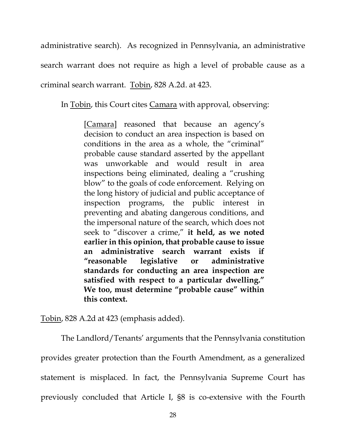administrative search). As recognized in Pennsylvania, an administrative search warrant does not require as high a level of probable cause as a criminal search warrant. Tobin, 828 A.2d. at 423.

In Tobin, this Court cites Camara with approval*,* observing:

[Camara] reasoned that because an agency's decision to conduct an area inspection is based on conditions in the area as a whole, the "criminal" probable cause standard asserted by the appellant was unworkable and would result in area inspections being eliminated, dealing a "crushing blow" to the goals of code enforcement. Relying on the long history of judicial and public acceptance of inspection programs, the public interest in preventing and abating dangerous conditions, and the impersonal nature of the search, which does not seek to "discover a crime," **it held, as we noted earlier in this opinion, that probable cause to issue an administrative search warrant exists if "reasonable legislative or administrative standards for conducting an area inspection are satisfied with respect to a particular dwelling." We too, must determine "probable cause" within this context.**

Tobin, 828 A.2d at 423 (emphasis added).

The Landlord/Tenants' arguments that the Pennsylvania constitution provides greater protection than the Fourth Amendment, as a generalized statement is misplaced. In fact, the Pennsylvania Supreme Court has previously concluded that Article I, §8 is co-extensive with the Fourth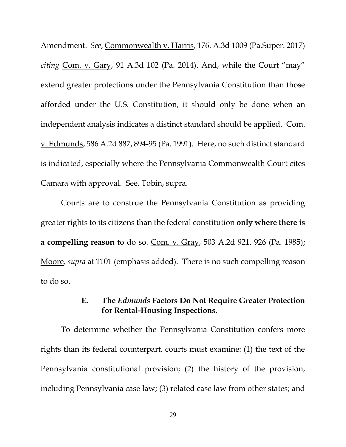Amendment. *See*, Commonwealth v. Harris, 176. A.3d 1009 (Pa.Super. 2017) *citing* Com. v. Gary, 91 A.3d 102 (Pa. 2014). And, while the Court "may" extend greater protections under the Pennsylvania Constitution than those afforded under the U.S. Constitution, it should only be done when an independent analysis indicates a distinct standard should be applied. Com. v. Edmunds, 586 A.2d 887, 894-95 (Pa. 1991). Here, no such distinct standard is indicated, especially where the Pennsylvania Commonwealth Court cites Camara with approval. See, Tobin, supra.

Courts are to construe the Pennsylvania Constitution as providing greater rights to its citizens than the federal constitution **only where there is a compelling reason** to do so. Com. v. Gray, 503 A.2d 921, 926 (Pa. 1985); Moore*, supra* at 1101 (emphasis added). There is no such compelling reason to do so.

## **E. The** *Edmunds* **Factors Do Not Require Greater Protection for Rental-Housing Inspections.**

<span id="page-35-0"></span>To determine whether the Pennsylvania Constitution confers more rights than its federal counterpart, courts must examine: (1) the text of the Pennsylvania constitutional provision; (2) the history of the provision, including Pennsylvania case law; (3) related case law from other states; and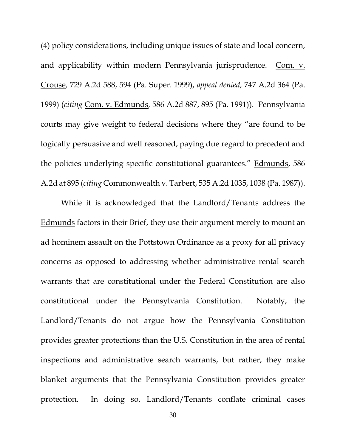(4) policy considerations, including unique issues of state and local concern, and applicability within modern Pennsylvania jurisprudence. Com. v. Crouse*,* 729 A.2d 588, 594 (Pa. Super. 1999), *appeal denied,* 747 A.2d 364 (Pa. 1999) (*citing* Com. v. Edmunds*,* 586 A.2d 887, 895 (Pa. 1991)). Pennsylvania courts may give weight to federal decisions where they "are found to be logically persuasive and well reasoned, paying due regard to precedent and the policies underlying specific constitutional guarantees." Edmunds, 586 A.2d at 895 (*citing* Commonwealth v. Tarbert, 535 A.2d 1035, 1038 (Pa. 1987)).

While it is acknowledged that the Landlord/Tenants address the Edmunds factors in their Brief, they use their argument merely to mount an ad hominem assault on the Pottstown Ordinance as a proxy for all privacy concerns as opposed to addressing whether administrative rental search warrants that are constitutional under the Federal Constitution are also constitutional under the Pennsylvania Constitution. Notably, the Landlord/Tenants do not argue how the Pennsylvania Constitution provides greater protections than the U.S. Constitution in the area of rental inspections and administrative search warrants, but rather, they make blanket arguments that the Pennsylvania Constitution provides greater protection. In doing so, Landlord/Tenants conflate criminal cases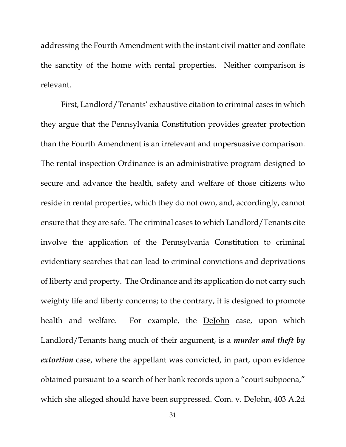addressing the Fourth Amendment with the instant civil matter and conflate the sanctity of the home with rental properties. Neither comparison is relevant.

First, Landlord/Tenants' exhaustive citation to criminal cases in which they argue that the Pennsylvania Constitution provides greater protection than the Fourth Amendment is an irrelevant and unpersuasive comparison. The rental inspection Ordinance is an administrative program designed to secure and advance the health, safety and welfare of those citizens who reside in rental properties, which they do not own, and, accordingly, cannot ensure that they are safe. The criminal cases to which Landlord/Tenants cite involve the application of the Pennsylvania Constitution to criminal evidentiary searches that can lead to criminal convictions and deprivations of liberty and property. The Ordinance and its application do not carry such weighty life and liberty concerns; to the contrary, it is designed to promote health and welfare. For example, the DeJohn case, upon which Landlord/Tenants hang much of their argument, is a *murder and theft by extortion* case, where the appellant was convicted, in part, upon evidence obtained pursuant to a search of her bank records upon a "court subpoena," which she alleged should have been suppressed. Com. v. DeJohn, 403 A.2d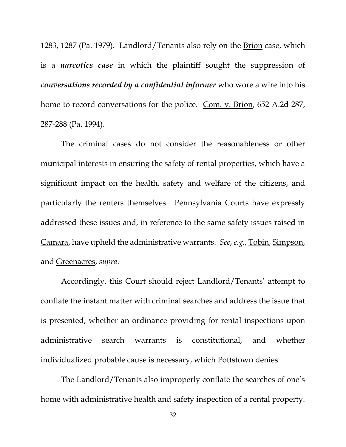1283, 1287 (Pa. 1979). Landlord/Tenants also rely on the **Brion** case, which is a *narcotics case* in which the plaintiff sought the suppression of *conversations recorded by a confidential informer* who wore a wire into his home to record conversations for the police. Com. v. Brion, 652 A.2d 287, 287-288 (Pa. 1994).

The criminal cases do not consider the reasonableness or other municipal interests in ensuring the safety of rental properties, which have a significant impact on the health, safety and welfare of the citizens, and particularly the renters themselves. Pennsylvania Courts have expressly addressed these issues and, in reference to the same safety issues raised in Camara, have upheld the administrative warrants. *See*, *e.g.*, Tobin, Simpson, and Greenacres, *supra*.

Accordingly, this Court should reject Landlord/Tenants' attempt to conflate the instant matter with criminal searches and address the issue that is presented, whether an ordinance providing for rental inspections upon administrative search warrants is constitutional, and whether individualized probable cause is necessary, which Pottstown denies.

The Landlord/Tenants also improperly conflate the searches of one's home with administrative health and safety inspection of a rental property.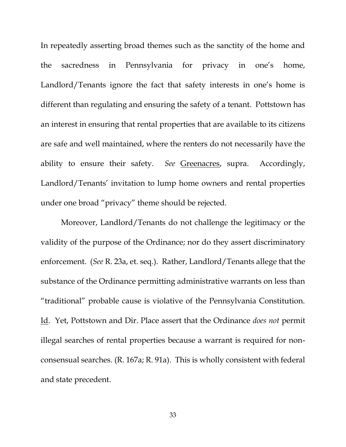In repeatedly asserting broad themes such as the sanctity of the home and the sacredness in Pennsylvania for privacy in one's home, Landlord/Tenants ignore the fact that safety interests in one's home is different than regulating and ensuring the safety of a tenant. Pottstown has an interest in ensuring that rental properties that are available to its citizens are safe and well maintained, where the renters do not necessarily have the ability to ensure their safety. *See* Greenacres, supra. Accordingly, Landlord/Tenants' invitation to lump home owners and rental properties under one broad "privacy" theme should be rejected.

Moreover, Landlord/Tenants do not challenge the legitimacy or the validity of the purpose of the Ordinance; nor do they assert discriminatory enforcement. (*See* R. 23a, et. seq.). Rather, Landlord/Tenants allege that the substance of the Ordinance permitting administrative warrants on less than "traditional" probable cause is violative of the Pennsylvania Constitution. Id. Yet, Pottstown and Dir. Place assert that the Ordinance *does not* permit illegal searches of rental properties because a warrant is required for nonconsensual searches. (R. 167a; R. 91a). This is wholly consistent with federal and state precedent.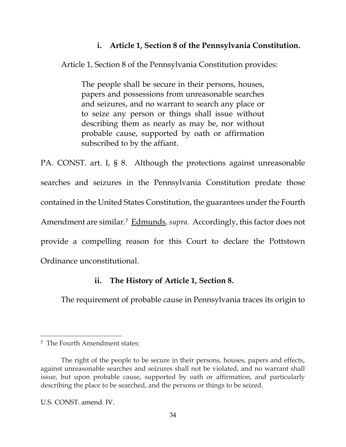# **i. Article 1, Section 8 of the Pennsylvania Constitution.**

Article 1, Section 8 of the Pennsylvania Constitution provides:

The people shall be secure in their persons, houses, papers and possessions from unreasonable searches and seizures, and no warrant to search any place or to seize any person or things shall issue without describing them as nearly as may be, nor without probable cause, supported by oath or affirmation subscribed to by the affiant.

PA. CONST. art. I, § 8. Although the protections against unreasonable searches and seizures in the Pennsylvania Constitution predate those contained in the United States Constitution, the guarantees under the Fourth Amendment are similar.<sup>7</sup> Edmunds*, supra*. Accordingly, this factor does not provide a compelling reason for this Court to declare the Pottstown Ordinance unconstitutional.

# **ii. The History of Article 1, Section 8.**

The requirement of probable cause in Pennsylvania traces its origin to

<sup>7</sup> The Fourth Amendment states:

The right of the people to be secure in their persons, houses, papers and effects, against unreasonable searches and seizures shall not be violated, and no warrant shall issue, but upon probable cause, supported by oath or affirmation, and particularly describing the place to be searched, and the persons or things to be seized.

U.S. CONST. amend. IV.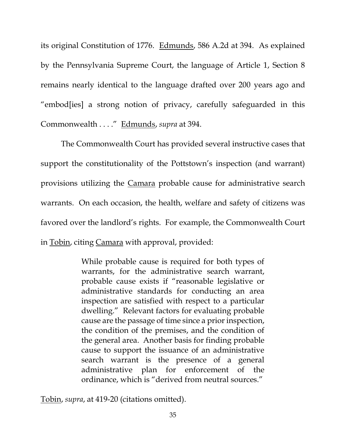its original Constitution of 1776. Edmunds, 586 A.2d at 394. As explained by the Pennsylvania Supreme Court, the language of Article 1, Section 8 remains nearly identical to the language drafted over 200 years ago and "embod[ies] a strong notion of privacy, carefully safeguarded in this Commonwealth . . . ." Edmunds, *supra* at 394.

The Commonwealth Court has provided several instructive cases that support the constitutionality of the Pottstown's inspection (and warrant) provisions utilizing the Camara probable cause for administrative search warrants. On each occasion, the health, welfare and safety of citizens was favored over the landlord's rights. For example, the Commonwealth Court in Tobin, citing Camara with approval, provided:

> While probable cause is required for both types of warrants, for the administrative search warrant, probable cause exists if "reasonable legislative or administrative standards for conducting an area inspection are satisfied with respect to a particular dwelling." Relevant factors for evaluating probable cause are the passage of time since a prior inspection, the condition of the premises, and the condition of the general area. Another basis for finding probable cause to support the issuance of an administrative search warrant is the presence of a general administrative plan for enforcement of the ordinance, which is "derived from neutral sources."

Tobin, *supra*, at 419-20 (citations omitted).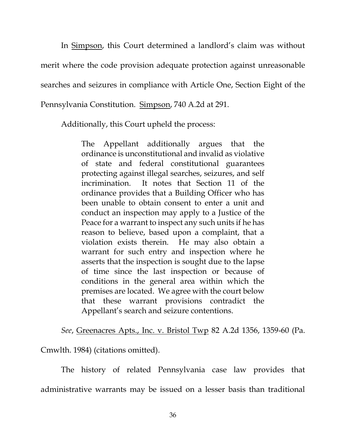In Simpson, this Court determined a landlord's claim was without merit where the code provision adequate protection against unreasonable searches and seizures in compliance with Article One, Section Eight of the Pennsylvania Constitution. Simpson, 740 A.2d at 291.

Additionally, this Court upheld the process:

The Appellant additionally argues that the ordinance is unconstitutional and invalid as violative of state and federal constitutional guarantees protecting against illegal searches, seizures, and self incrimination. It notes that Section 11 of the ordinance provides that a Building Officer who has been unable to obtain consent to enter a unit and conduct an inspection may apply to a Justice of the Peace for a warrant to inspect any such units if he has reason to believe, based upon a complaint, that a violation exists therein. He may also obtain a warrant for such entry and inspection where he asserts that the inspection is sought due to the lapse of time since the last inspection or because of conditions in the general area within which the premises are located. We agree with the court below that these warrant provisions contradict the Appellant's search and seizure contentions.

*See*, Greenacres Apts., Inc. v. Bristol Twp 82 A.2d 1356, 1359-60 (Pa.

Cmwlth. 1984) (citations omitted).

The history of related Pennsylvania case law provides that administrative warrants may be issued on a lesser basis than traditional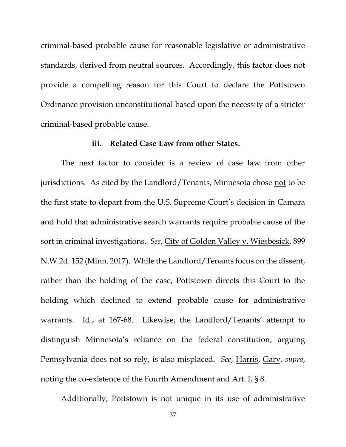criminal-based probable cause for reasonable legislative or administrative standards, derived from neutral sources. Accordingly, this factor does not provide a compelling reason for this Court to declare the Pottstown Ordinance provision unconstitutional based upon the necessity of a stricter criminal-based probable cause.

### **iii. Related Case Law from other States.**

The next factor to consider is a review of case law from other jurisdictions. As cited by the Landlord/Tenants, Minnesota chose not to be the first state to depart from the U.S. Supreme Court's decision in Camara and hold that administrative search warrants require probable cause of the sort in criminal investigations. *See*, City of Golden Valley v. Wiesbesick, 899 N.W.2d. 152 (Minn. 2017). While the Landlord/Tenants focus on the dissent, rather than the holding of the case, Pottstown directs this Court to the holding which declined to extend probable cause for administrative warrants. Id., at 167-68. Likewise, the Landlord/Tenants' attempt to distinguish Minnesota's reliance on the federal constitution, arguing Pennsylvania does not so rely, is also misplaced. *See*, Harris, Gary, *supra*, noting the co-existence of the Fourth Amendment and Art. I, § 8.

Additionally, Pottstown is not unique in its use of administrative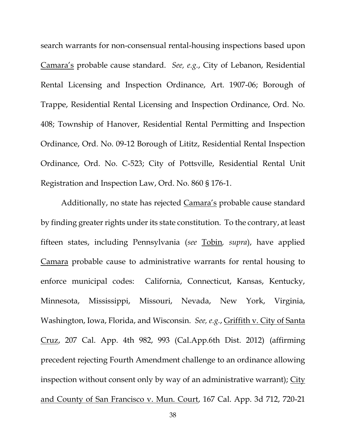search warrants for non-consensual rental-housing inspections based upon Camara's probable cause standard. *See, e.g.*, City of Lebanon, Residential Rental Licensing and Inspection Ordinance, Art. 1907-06; Borough of Trappe, Residential Rental Licensing and Inspection Ordinance, Ord. No. 408; Township of Hanover, Residential Rental Permitting and Inspection Ordinance, Ord. No. 09-12 Borough of Lititz, Residential Rental Inspection Ordinance, Ord. No. C-523; City of Pottsville, Residential Rental Unit Registration and Inspection Law, Ord. No. 860 § 176-1.

Additionally, no state has rejected Camara's probable cause standard by finding greater rights under its state constitution. To the contrary, at least fifteen states, including Pennsylvania (*see* Tobin*, supra*), have applied Camara probable cause to administrative warrants for rental housing to enforce municipal codes: California, Connecticut, Kansas, Kentucky, Minnesota, Mississippi, Missouri, Nevada, New York, Virginia, Washington, Iowa, Florida, and Wisconsin. *See, e.g.*, Griffith v. City of Santa Cruz, 207 Cal. App. 4th 982, 993 (Cal.App.6th Dist. 2012) (affirming precedent rejecting Fourth Amendment challenge to an ordinance allowing inspection without consent only by way of an administrative warrant); City and County of San Francisco v. Mun. Court, 167 Cal. App. 3d 712, 720-21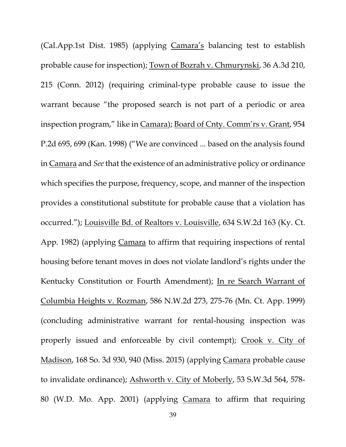(Cal.App.1st Dist. 1985) (applying Camara's balancing test to establish probable cause for inspection); Town of Bozrah v. Chmurynski, 36 A.3d 210, 215 (Conn. 2012) (requiring criminal-type probable cause to issue the warrant because "the proposed search is not part of a periodic or area inspection program," like in Camara); Board of Cnty. Comm'rs v. Grant, 954 P.2d 695, 699 (Kan. 1998) ("We are convinced ... based on the analysis found in Camara and *See* that the existence of an administrative policy or ordinance which specifies the purpose, frequency, scope, and manner of the inspection provides a constitutional substitute for probable cause that a violation has occurred."); Louisville Bd. of Realtors v. Louisville, 634 S.W.2d 163 (Ky. Ct. App. 1982) (applying Camara to affirm that requiring inspections of rental housing before tenant moves in does not violate landlord's rights under the Kentucky Constitution or Fourth Amendment); In re Search Warrant of Columbia Heights v. Rozman, 586 N.W.2d 273, 275-76 (Mn. Ct. App. 1999) (concluding administrative warrant for rental-housing inspection was properly issued and enforceable by civil contempt); Crook v. City of Madison, 168 So. 3d 930, 940 (Miss. 2015) (applying Camara probable cause to invalidate ordinance); Ashworth v. City of Moberly, 53 S.W.3d 564, 578- 80 (W.D. Mo. App. 2001) (applying Camara to affirm that requiring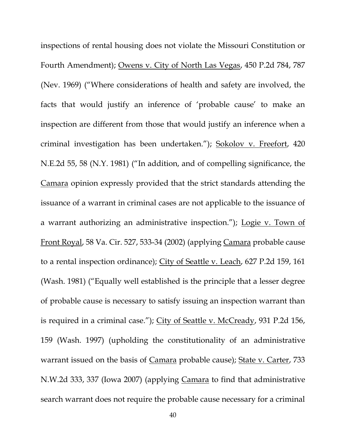inspections of rental housing does not violate the Missouri Constitution or Fourth Amendment); Owens v. City of North Las Vegas, 450 P.2d 784, 787 (Nev. 1969) ("Where considerations of health and safety are involved, the facts that would justify an inference of 'probable cause' to make an inspection are different from those that would justify an inference when a criminal investigation has been undertaken."); Sokolov v. Freefort, 420 N.E.2d 55, 58 (N.Y. 1981) ("In addition, and of compelling significance, the Camara opinion expressly provided that the strict standards attending the issuance of a warrant in criminal cases are not applicable to the issuance of a warrant authorizing an administrative inspection."); Logie v. Town of Front Royal, 58 Va. Cir. 527, 533-34 (2002) (applying Camara probable cause to a rental inspection ordinance); City of Seattle v. Leach, 627 P.2d 159, 161 (Wash. 1981) ("Equally well established is the principle that a lesser degree of probable cause is necessary to satisfy issuing an inspection warrant than is required in a criminal case."); City of Seattle v. McCready, 931 P.2d 156, 159 (Wash. 1997) (upholding the constitutionality of an administrative warrant issued on the basis of Camara probable cause); State v. Carter, 733 N.W.2d 333, 337 (Iowa 2007) (applying Camara to find that administrative search warrant does not require the probable cause necessary for a criminal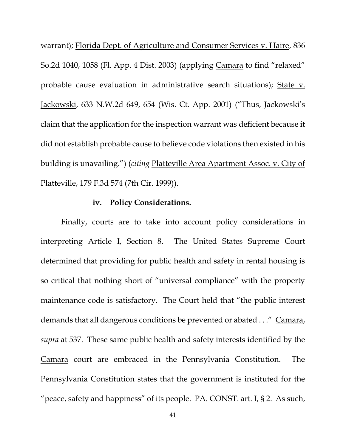warrant); Florida Dept. of Agriculture and Consumer Services v. Haire, 836 So.2d 1040, 1058 (Fl. App. 4 Dist. 2003) (applying Camara to find "relaxed" probable cause evaluation in administrative search situations); State v. Jackowski, 633 N.W.2d 649, 654 (Wis. Ct. App. 2001) ("Thus, Jackowski's claim that the application for the inspection warrant was deficient because it did not establish probable cause to believe code violations then existed in his building is unavailing.") (*citing* Platteville Area Apartment Assoc. v. City of Platteville, 179 F.3d 574 (7th Cir. 1999)).

### **iv. Policy Considerations.**

Finally, courts are to take into account policy considerations in interpreting Article I, Section 8. The United States Supreme Court determined that providing for public health and safety in rental housing is so critical that nothing short of "universal compliance" with the property maintenance code is satisfactory. The Court held that "the public interest demands that all dangerous conditions be prevented or abated . . ." Camara, *supra* at 537. These same public health and safety interests identified by the Camara court are embraced in the Pennsylvania Constitution. The Pennsylvania Constitution states that the government is instituted for the "peace, safety and happiness" of its people. PA. CONST. art. I, § 2. As such,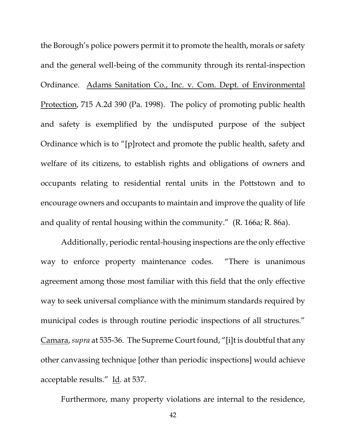the Borough's police powers permit it to promote the health, morals or safety and the general well-being of the community through its rental-inspection Ordinance. Adams Sanitation Co., Inc. v. Com. Dept. of Environmental Protection, 715 A.2d 390 (Pa. 1998). The policy of promoting public health and safety is exemplified by the undisputed purpose of the subject Ordinance which is to "[p]rotect and promote the public health, safety and welfare of its citizens, to establish rights and obligations of owners and occupants relating to residential rental units in the Pottstown and to encourage owners and occupants to maintain and improve the quality of life and quality of rental housing within the community." (R. 166a; R. 86a).

Additionally, periodic rental-housing inspections are the only effective way to enforce property maintenance codes. "There is unanimous agreement among those most familiar with this field that the only effective way to seek universal compliance with the minimum standards required by municipal codes is through routine periodic inspections of all structures." Camara, *supra* at 535-36. The Supreme Court found, "[i]t is doubtful that any other canvassing technique [other than periodic inspections] would achieve acceptable results." Id*.* at 537.

Furthermore, many property violations are internal to the residence,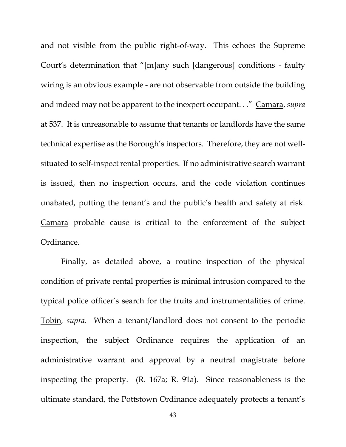and not visible from the public right-of-way. This echoes the Supreme Court's determination that "[m]any such [dangerous] conditions - faulty wiring is an obvious example - are not observable from outside the building and indeed may not be apparent to the inexpert occupant. . ." Camara, *supra* at 537. It is unreasonable to assume that tenants or landlords have the same technical expertise as the Borough's inspectors. Therefore, they are not wellsituated to self-inspect rental properties. If no administrative search warrant is issued, then no inspection occurs, and the code violation continues unabated, putting the tenant's and the public's health and safety at risk. Camara probable cause is critical to the enforcement of the subject Ordinance.

Finally, as detailed above, a routine inspection of the physical condition of private rental properties is minimal intrusion compared to the typical police officer's search for the fruits and instrumentalities of crime. Tobin*, supra*. When a tenant/landlord does not consent to the periodic inspection, the subject Ordinance requires the application of an administrative warrant and approval by a neutral magistrate before inspecting the property. (R. 167a; R. 91a). Since reasonableness is the ultimate standard, the Pottstown Ordinance adequately protects a tenant's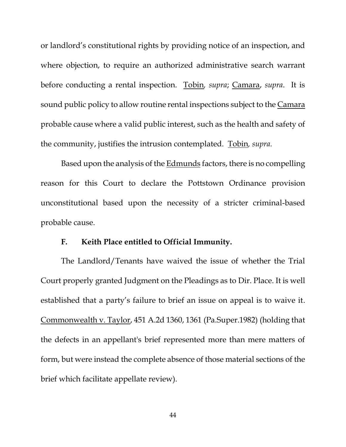or landlord's constitutional rights by providing notice of an inspection, and where objection, to require an authorized administrative search warrant before conducting a rental inspection. Tobin*, supra*; Camara, *supra*. It is sound public policy to allow routine rental inspections subject to the Camara probable cause where a valid public interest, such as the health and safety of the community, justifies the intrusion contemplated. Tobin*, supra.*

Based upon the analysis of the Edmunds factors, there is no compelling reason for this Court to declare the Pottstown Ordinance provision unconstitutional based upon the necessity of a stricter criminal-based probable cause.

### **F. Keith Place entitled to Official Immunity.**

<span id="page-50-0"></span>The Landlord/Tenants have waived the issue of whether the Trial Court properly granted Judgment on the Pleadings as to Dir. Place. It is well established that a party's failure to brief an issue on appeal is to waive it. Commonwealth v. Taylor, 451 A.2d 1360, 1361 (Pa.Super.1982) (holding that the defects in an appellant's brief represented more than mere matters of form, but were instead the complete absence of those material sections of the brief which facilitate appellate review).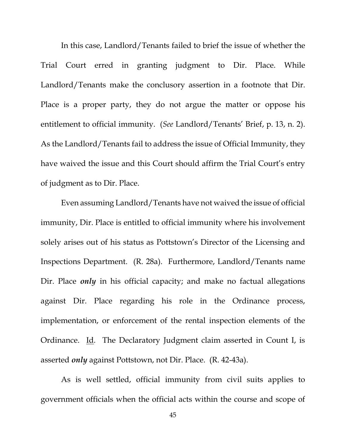In this case, Landlord/Tenants failed to brief the issue of whether the Trial Court erred in granting judgment to Dir. Place. While Landlord/Tenants make the conclusory assertion in a footnote that Dir. Place is a proper party, they do not argue the matter or oppose his entitlement to official immunity. (*See* Landlord/Tenants' Brief, p. 13, n. 2). As the Landlord/Tenants fail to address the issue of Official Immunity, they have waived the issue and this Court should affirm the Trial Court's entry of judgment as to Dir. Place.

Even assuming Landlord/Tenants have not waived the issue of official immunity, Dir. Place is entitled to official immunity where his involvement solely arises out of his status as Pottstown's Director of the Licensing and Inspections Department. (R. 28a). Furthermore, Landlord/Tenants name Dir. Place *only* in his official capacity; and make no factual allegations against Dir. Place regarding his role in the Ordinance process, implementation, or enforcement of the rental inspection elements of the Ordinance. Id*.* The Declaratory Judgment claim asserted in Count I, is asserted *only* against Pottstown, not Dir. Place. (R. 42-43a).

As is well settled, official immunity from civil suits applies to government officials when the official acts within the course and scope of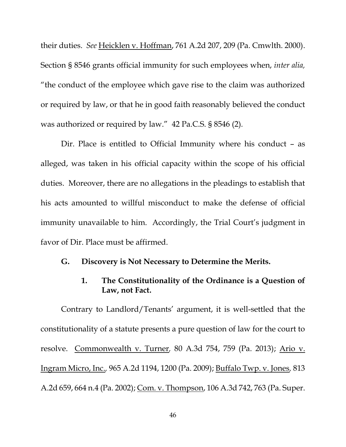their duties. *See* Heicklen v. Hoffman, 761 A.2d 207, 209 (Pa. Cmwlth. 2000). Section § 8546 grants official immunity for such employees when, *inter alia,* "the conduct of the employee which gave rise to the claim was authorized or required by law, or that he in good faith reasonably believed the conduct was authorized or required by law." 42 Pa.C.S. § 8546 (2)*.*

Dir. Place is entitled to Official Immunity where his conduct – as alleged, was taken in his official capacity within the scope of his official duties. Moreover, there are no allegations in the pleadings to establish that his acts amounted to willful misconduct to make the defense of official immunity unavailable to him. Accordingly, the Trial Court's judgment in favor of Dir. Place must be affirmed.

## <span id="page-52-1"></span><span id="page-52-0"></span>**G. Discovery is Not Necessary to Determine the Merits.**

## **1. The Constitutionality of the Ordinance is a Question of Law, not Fact.**

Contrary to Landlord/Tenants' argument, it is well-settled that the constitutionality of a statute presents a pure question of law for the court to resolve. Commonwealth v. Turner*,* 80 A.3d 754, 759 (Pa. 2013); Ario v. Ingram Micro, Inc.*,* 965 A.2d 1194, 1200 (Pa. 2009); Buffalo Twp. v. Jones*,* 813 A.2d 659, 664 n.4 (Pa. 2002); Com. v. Thompson, 106 A.3d 742, 763 (Pa. Super.

46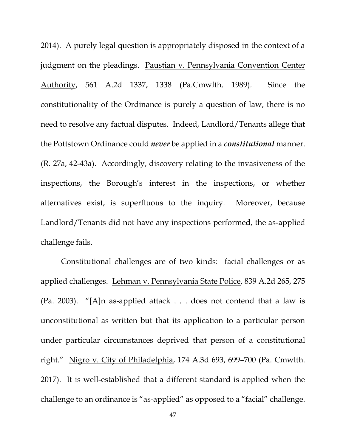2014). A purely legal question is appropriately disposed in the context of a judgment on the pleadings. Paustian v. Pennsylvania Convention Center Authority, 561 A.2d 1337, 1338 (Pa.Cmwlth. 1989)*.* Since the constitutionality of the Ordinance is purely a question of law, there is no need to resolve any factual disputes. Indeed, Landlord/Tenants allege that the Pottstown Ordinance could *never* be applied in a *constitutional* manner. (R. 27a, 42-43a). Accordingly, discovery relating to the invasiveness of the inspections, the Borough's interest in the inspections, or whether alternatives exist, is superfluous to the inquiry. Moreover, because Landlord/Tenants did not have any inspections performed, the as-applied challenge fails.

Constitutional challenges are of two kinds: facial challenges or as applied challenges. Lehman v. Pennsylvania State Police, 839 A.2d 265, 275 (Pa. 2003). "[A]n as-applied attack . . . does not contend that a law is unconstitutional as written but that its application to a particular person under particular circumstances deprived that person of a constitutional right." Nigro v. City of Philadelphia, 174 A.3d 693, 699–700 (Pa. Cmwlth. 2017). It is well-established that a different standard is applied when the challenge to an ordinance is "as-applied" as opposed to a "facial" challenge.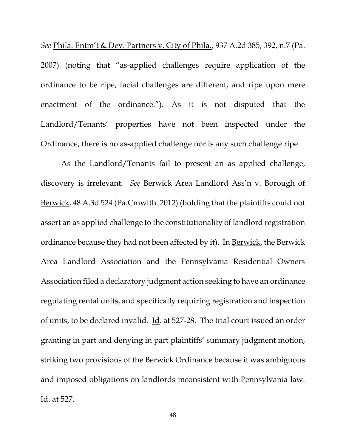*See* Phila. Entm't & Dev. Partners v. City of Phila., 937 A.2d 385, 392, n.7 (Pa. 2007) (noting that "as-applied challenges require application of the ordinance to be ripe, facial challenges are different, and ripe upon mere enactment of the ordinance."). As it is not disputed that the Landlord/Tenants' properties have not been inspected under the Ordinance, there is no as-applied challenge nor is any such challenge ripe.

As the Landlord/Tenants fail to present an as applied challenge, discovery is irrelevant. *See* Berwick Area Landlord Ass'n v. Borough of Berwick, 48 A.3d 524 (Pa.Cmwlth. 2012) (holding that the plaintiffs could not assert an as applied challenge to the constitutionality of landlord registration ordinance because they had not been affected by it). In Berwick, the Berwick Area Landlord Association and the Pennsylvania Residential Owners Association filed a declaratory judgment action seeking to have an ordinance regulating rental units, and specifically requiring registration and inspection of units, to be declared invalid. Id. at 527-28. The trial court issued an order granting in part and denying in part plaintiffs' summary judgment motion, striking two provisions of the Berwick Ordinance because it was ambiguous and imposed obligations on landlords inconsistent with Pennsylvania law. Id. at 527.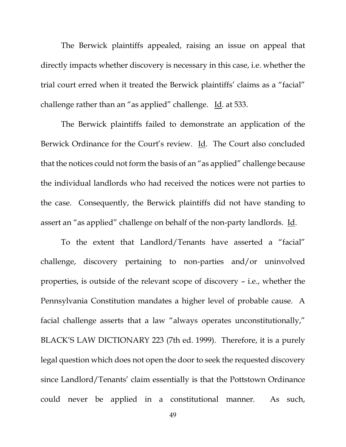The Berwick plaintiffs appealed, raising an issue on appeal that directly impacts whether discovery is necessary in this case, i.e. whether the trial court erred when it treated the Berwick plaintiffs' claims as a "facial" challenge rather than an "as applied" challenge. Id. at 533.

The Berwick plaintiffs failed to demonstrate an application of the Berwick Ordinance for the Court's review. Id. The Court also concluded that the notices could not form the basis of an "as applied" challenge because the individual landlords who had received the notices were not parties to the case. Consequently, the Berwick plaintiffs did not have standing to assert an "as applied" challenge on behalf of the non-party landlords. Id.

To the extent that Landlord/Tenants have asserted a "facial" challenge, discovery pertaining to non-parties and/or uninvolved properties, is outside of the relevant scope of discovery – i.e., whether the Pennsylvania Constitution mandates a higher level of probable cause. A facial challenge asserts that a law "always operates unconstitutionally," BLACK'S LAW DICTIONARY 223 (7th ed. 1999). Therefore, it is a purely legal question which does not open the door to seek the requested discovery since Landlord/Tenants' claim essentially is that the Pottstown Ordinance could never be applied in a constitutional manner. As such,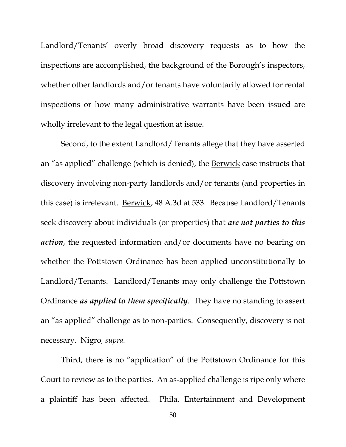Landlord/Tenants' overly broad discovery requests as to how the inspections are accomplished, the background of the Borough's inspectors, whether other landlords and/or tenants have voluntarily allowed for rental inspections or how many administrative warrants have been issued are wholly irrelevant to the legal question at issue.

Second, to the extent Landlord/Tenants allege that they have asserted an "as applied" challenge (which is denied), the Berwick case instructs that discovery involving non-party landlords and/or tenants (and properties in this case) is irrelevant. Berwick, 48 A.3d at 533. Because Landlord/Tenants seek discovery about individuals (or properties) that *are not parties to this action*, the requested information and/or documents have no bearing on whether the Pottstown Ordinance has been applied unconstitutionally to Landlord/Tenants. Landlord/Tenants may only challenge the Pottstown Ordinance *as applied to them specifically*. They have no standing to assert an "as applied" challenge as to non-parties. Consequently, discovery is not necessary. Nigro*, supra.*

Third, there is no "application" of the Pottstown Ordinance for this Court to review as to the parties. An as-applied challenge is ripe only where a plaintiff has been affected. Phila. Entertainment and Development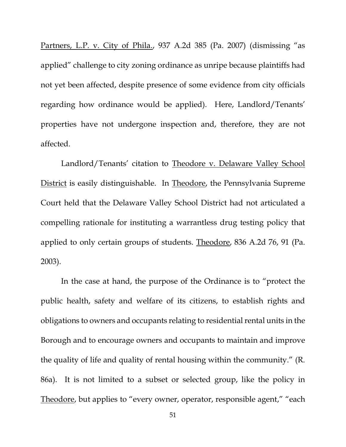Partners, L.P. v. City of Phila., 937 A.2d 385 (Pa. 2007) (dismissing "as applied" challenge to city zoning ordinance as unripe because plaintiffs had not yet been affected, despite presence of some evidence from city officials regarding how ordinance would be applied). Here, Landlord/Tenants' properties have not undergone inspection and, therefore, they are not affected.

Landlord/Tenants' citation to Theodore v. Delaware Valley School District is easily distinguishable. In Theodore, the Pennsylvania Supreme Court held that the Delaware Valley School District had not articulated a compelling rationale for instituting a warrantless drug testing policy that applied to only certain groups of students. Theodore, 836 A.2d 76, 91 (Pa. 2003).

In the case at hand, the purpose of the Ordinance is to "protect the public health, safety and welfare of its citizens, to establish rights and obligations to owners and occupants relating to residential rental units in the Borough and to encourage owners and occupants to maintain and improve the quality of life and quality of rental housing within the community." (R. 86a). It is not limited to a subset or selected group, like the policy in Theodore, but applies to "every owner, operator, responsible agent," "each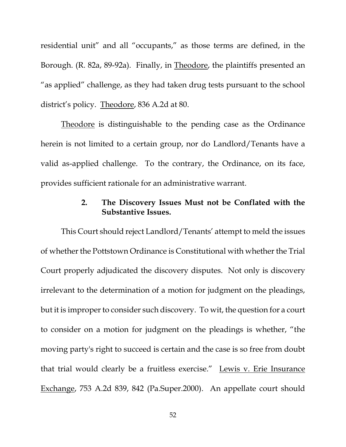residential unit" and all "occupants," as those terms are defined, in the Borough. (R. 82a, 89-92a). Finally, in Theodore, the plaintiffs presented an "as applied" challenge, as they had taken drug tests pursuant to the school district's policy. Theodore, 836 A.2d at 80.

Theodore is distinguishable to the pending case as the Ordinance herein is not limited to a certain group, nor do Landlord/Tenants have a valid as-applied challenge. To the contrary, the Ordinance, on its face, provides sufficient rationale for an administrative warrant.

# **2. The Discovery Issues Must not be Conflated with the Substantive Issues.**

<span id="page-58-0"></span>This Court should reject Landlord/Tenants' attempt to meld the issues of whether the Pottstown Ordinance is Constitutional with whether the Trial Court properly adjudicated the discovery disputes. Not only is discovery irrelevant to the determination of a motion for judgment on the pleadings, but it is improper to consider such discovery. To wit, the question for a court to consider on a motion for judgment on the pleadings is whether, "the moving party's right to succeed is certain and the case is so free from doubt that trial would clearly be a fruitless exercise." Lewis v. Erie Insurance Exchange, 753 A.2d 839, 842 (Pa.Super.2000). An appellate court should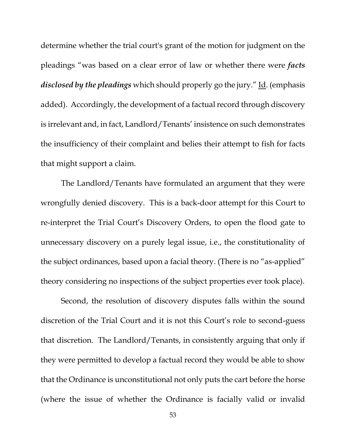determine whether the trial court's grant of the motion for judgment on the pleadings "was based on a clear error of law or whether there were *facts disclosed by the pleadings* which should properly go the jury." Id. (emphasis added). Accordingly, the development of a factual record through discovery is irrelevant and, in fact, Landlord/Tenants' insistence on such demonstrates the insufficiency of their complaint and belies their attempt to fish for facts that might support a claim.

The Landlord/Tenants have formulated an argument that they were wrongfully denied discovery. This is a back-door attempt for this Court to re-interpret the Trial Court's Discovery Orders, to open the flood gate to unnecessary discovery on a purely legal issue, i.e., the constitutionality of the subject ordinances, based upon a facial theory. (There is no "as-applied" theory considering no inspections of the subject properties ever took place).

Second, the resolution of discovery disputes falls within the sound discretion of the Trial Court and it is not this Court's role to second-guess that discretion. The Landlord/Tenants, in consistently arguing that only if they were permitted to develop a factual record they would be able to show that the Ordinance is unconstitutional not only puts the cart before the horse (where the issue of whether the Ordinance is facially valid or invalid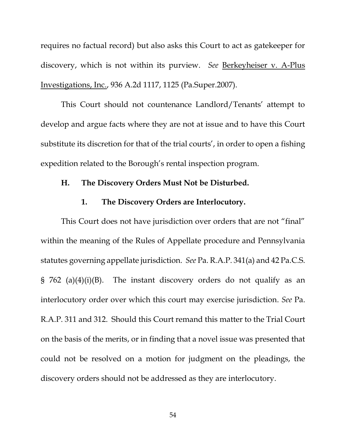requires no factual record) but also asks this Court to act as gatekeeper for discovery, which is not within its purview. *See* Berkeyheiser v. A-Plus Investigations, Inc., 936 A.2d 1117, 1125 (Pa.Super.2007).

This Court should not countenance Landlord/Tenants' attempt to develop and argue facts where they are not at issue and to have this Court substitute its discretion for that of the trial courts', in order to open a fishing expedition related to the Borough's rental inspection program.

### <span id="page-60-0"></span>**H. The Discovery Orders Must Not be Disturbed.**

### **1. The Discovery Orders are Interlocutory.**

<span id="page-60-1"></span>This Court does not have jurisdiction over orders that are not "final" within the meaning of the Rules of Appellate procedure and Pennsylvania statutes governing appellate jurisdiction. *See* Pa. R.A.P. 341(a) and 42 Pa.C.S. § 762 (a)(4)(i)(B). The instant discovery orders do not qualify as an interlocutory order over which this court may exercise jurisdiction. *See* Pa. R.A.P. 311 and 312. Should this Court remand this matter to the Trial Court on the basis of the merits, or in finding that a novel issue was presented that could not be resolved on a motion for judgment on the pleadings, the discovery orders should not be addressed as they are interlocutory.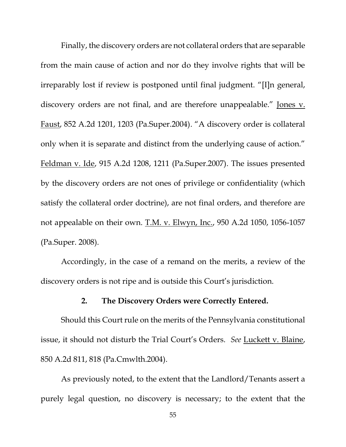Finally, the discovery orders are not collateral orders that are separable from the main cause of action and nor do they involve rights that will be irreparably lost if review is postponed until final judgment. "[I]n general, discovery orders are not final, and are therefore unappealable." Jones v. Faust, 852 A.2d 1201, 1203 (Pa.Super.2004). "A discovery order is collateral only when it is separate and distinct from the underlying cause of action." Feldman v. Ide, 915 A.2d 1208, 1211 (Pa.Super.2007). The issues presented by the discovery orders are not ones of privilege or confidentiality (which satisfy the collateral order doctrine), are not final orders, and therefore are not appealable on their own. T.M. v. Elwyn, Inc., 950 A.2d 1050, 1056-1057 (Pa.Super. 2008).

Accordingly, in the case of a remand on the merits, a review of the discovery orders is not ripe and is outside this Court's jurisdiction.

## **2. The Discovery Orders were Correctly Entered.**

<span id="page-61-0"></span>Should this Court rule on the merits of the Pennsylvania constitutional issue, it should not disturb the Trial Court's Orders. *See* Luckett v. Blaine, 850 A.2d 811, 818 (Pa.Cmwlth.2004).

As previously noted, to the extent that the Landlord/Tenants assert a purely legal question, no discovery is necessary; to the extent that the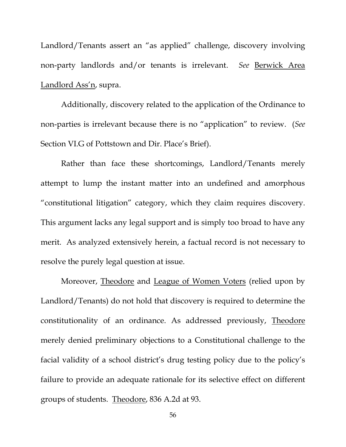Landlord/Tenants assert an "as applied" challenge, discovery involving non-party landlords and/or tenants is irrelevant. *See* Berwick Area Landlord Ass'n, supra.

Additionally, discovery related to the application of the Ordinance to non-parties is irrelevant because there is no "application" to review. (*See* Section VI.G of Pottstown and Dir. Place's Brief).

Rather than face these shortcomings, Landlord/Tenants merely attempt to lump the instant matter into an undefined and amorphous "constitutional litigation" category, which they claim requires discovery. This argument lacks any legal support and is simply too broad to have any merit. As analyzed extensively herein, a factual record is not necessary to resolve the purely legal question at issue.

Moreover, Theodore and League of Women Voters (relied upon by Landlord/Tenants) do not hold that discovery is required to determine the constitutionality of an ordinance. As addressed previously, Theodore merely denied preliminary objections to a Constitutional challenge to the facial validity of a school district's drug testing policy due to the policy's failure to provide an adequate rationale for its selective effect on different groups of students. Theodore, 836 A.2d at 93.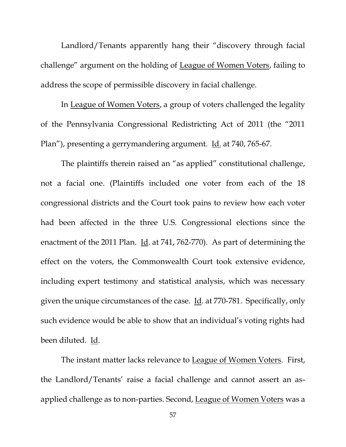Landlord/Tenants apparently hang their "discovery through facial challenge" argument on the holding of League of Women Voters, failing to address the scope of permissible discovery in facial challenge.

In League of Women Voters, a group of voters challenged the legality of the Pennsylvania Congressional Redistricting Act of 2011 (the "2011 Plan"), presenting a gerrymandering argument. Id. at 740, 765-67.

The plaintiffs therein raised an "as applied" constitutional challenge, not a facial one. (Plaintiffs included one voter from each of the 18 congressional districts and the Court took pains to review how each voter had been affected in the three U.S. Congressional elections since the enactment of the 2011 Plan. Id. at 741, 762-770). As part of determining the effect on the voters, the Commonwealth Court took extensive evidence, including expert testimony and statistical analysis, which was necessary given the unique circumstances of the case. Id. at 770-781. Specifically, only such evidence would be able to show that an individual's voting rights had been diluted. Id.

The instant matter lacks relevance to League of Women Voters. First, the Landlord/Tenants' raise a facial challenge and cannot assert an asapplied challenge as to non-parties. Second, League of Women Voters was a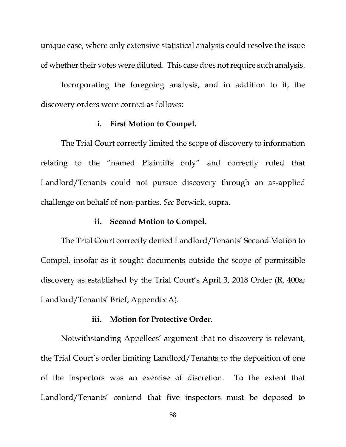unique case, where only extensive statistical analysis could resolve the issue of whether their votes were diluted. This case does not require such analysis.

Incorporating the foregoing analysis, and in addition to it, the discovery orders were correct as follows:

### **i. First Motion to Compel.**

The Trial Court correctly limited the scope of discovery to information relating to the "named Plaintiffs only" and correctly ruled that Landlord/Tenants could not pursue discovery through an as-applied challenge on behalf of non-parties. *See* Berwick, supra.

## **ii. Second Motion to Compel.**

The Trial Court correctly denied Landlord/Tenants' Second Motion to Compel, insofar as it sought documents outside the scope of permissible discovery as established by the Trial Court's April 3, 2018 Order (R. 400a; Landlord/Tenants' Brief, Appendix A).

### **iii. Motion for Protective Order.**

Notwithstanding Appellees' argument that no discovery is relevant, the Trial Court's order limiting Landlord/Tenants to the deposition of one of the inspectors was an exercise of discretion. To the extent that Landlord/Tenants' contend that five inspectors must be deposed to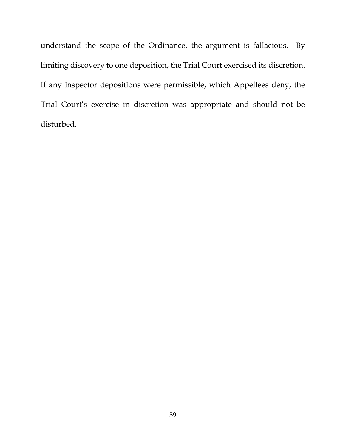understand the scope of the Ordinance, the argument is fallacious. By limiting discovery to one deposition, the Trial Court exercised its discretion. If any inspector depositions were permissible, which Appellees deny, the Trial Court's exercise in discretion was appropriate and should not be disturbed.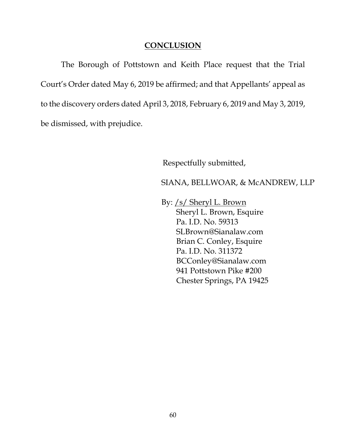## **CONCLUSION**

<span id="page-66-0"></span>The Borough of Pottstown and Keith Place request that the Trial Court's Order dated May 6, 2019 be affirmed; and that Appellants' appeal as to the discovery orders dated April 3, 2018, February 6, 2019 and May 3, 2019, be dismissed, with prejudice.

Respectfully submitted,

SIANA, BELLWOAR, & McANDREW, LLP

By: /s/ Sheryl L. Brown Sheryl L. Brown, Esquire Pa. I.D. No. 59313 SLBrown@Sianalaw.com Brian C. Conley, Esquire Pa. I.D. No. 311372 BCConley@Sianalaw.com 941 Pottstown Pike #200 Chester Springs, PA 19425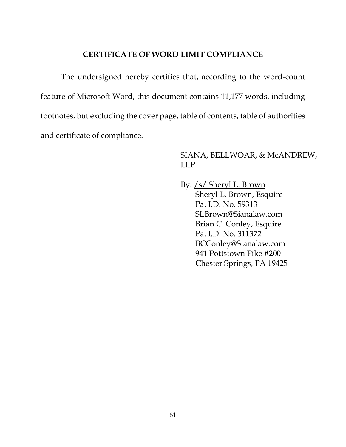## **CERTIFICATE OF WORD LIMIT COMPLIANCE**

The undersigned hereby certifies that, according to the word-count feature of Microsoft Word, this document contains 11,177 words, including footnotes, but excluding the cover page, table of contents, table of authorities and certificate of compliance.

# SIANA, BELLWOAR, & McANDREW, LLP

By: /s/ Sheryl L. Brown Sheryl L. Brown, Esquire Pa. I.D. No. 59313 SLBrown@Sianalaw.com Brian C. Conley, Esquire Pa. I.D. No. 311372 BCConley@Sianalaw.com 941 Pottstown Pike #200 Chester Springs, PA 19425